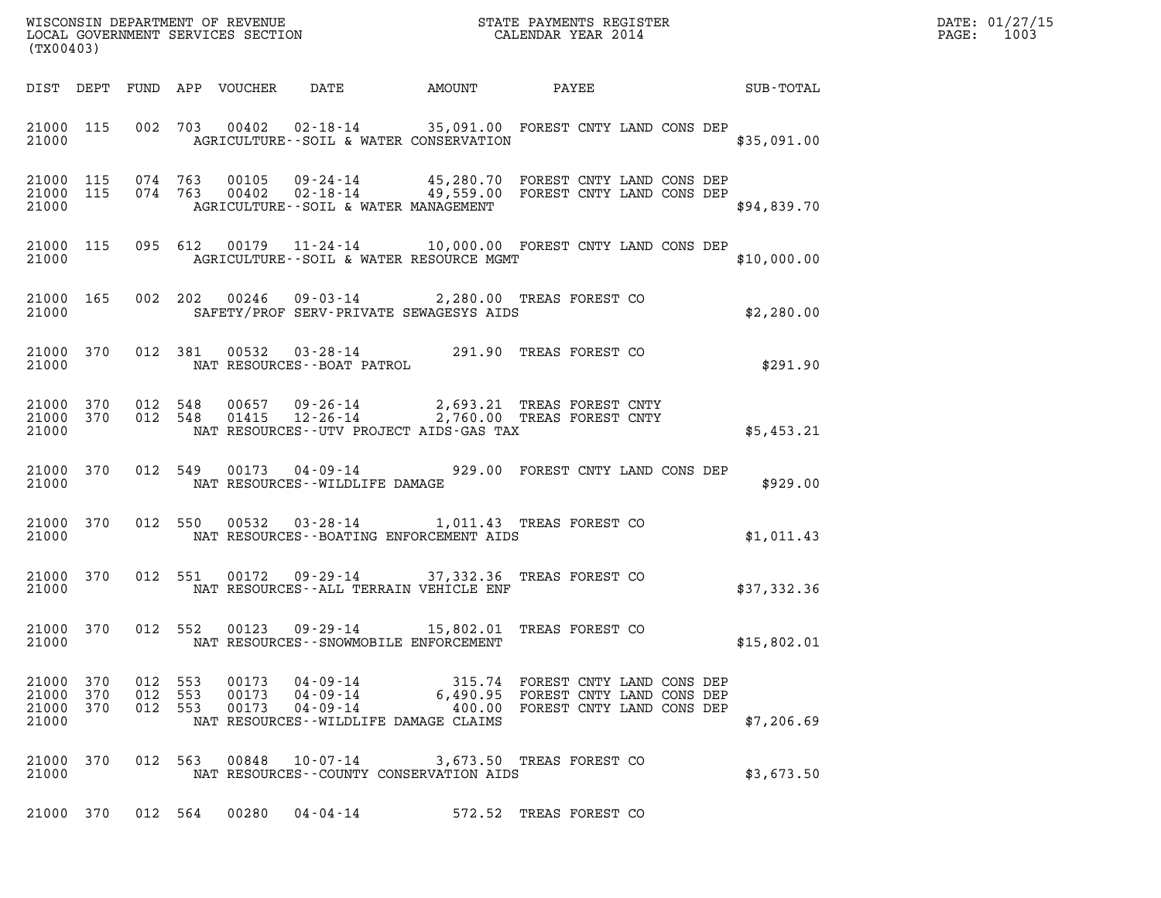| DATE: | 01/27/15 |
|-------|----------|
| PAGE: | 1003     |

| (TX00403)                                    |           |         |                    |                                          |                                               |                                                                                                                                                                                                                                                                                                                                                          | DATE: 01/27/15<br>PAGE: 1003 |  |
|----------------------------------------------|-----------|---------|--------------------|------------------------------------------|-----------------------------------------------|----------------------------------------------------------------------------------------------------------------------------------------------------------------------------------------------------------------------------------------------------------------------------------------------------------------------------------------------------------|------------------------------|--|
|                                              |           |         |                    |                                          |                                               |                                                                                                                                                                                                                                                                                                                                                          |                              |  |
| 21000                                        |           |         |                    |                                          |                                               | 21000 115 002 703 00402 02-18-14 35,091.00 FOREST CNTY LAND CONS DEP<br>AGRICULTURE--SOIL & WATER CONSERVATION                                                                                                                                                                                                                                           | \$35,091.00                  |  |
| 21000                                        |           |         |                    |                                          | AGRICULTURE--SOIL & WATER MANAGEMENT          | 21000 115 074 763 00105 09-24-14 45,280.70 FOREST CNTY LAND CONS DEP<br>21000 115 074 763 00402 02-18-14 49,559.00 FOREST CNTY LAND CONS DEP                                                                                                                                                                                                             | \$94,839.70                  |  |
| 21000                                        |           |         |                    |                                          | AGRICULTURE--SOIL & WATER RESOURCE MGMT       | 21000 115 095 612 00179 11-24-14 10,000.00 FOREST CNTY LAND CONS DEP                                                                                                                                                                                                                                                                                     | \$10,000.00                  |  |
|                                              |           |         |                    |                                          | 21000 SAFETY/PROF SERV-PRIVATE SEWAGESYS AIDS | 21000 165 002 202 00246 09-03-14 2,280.00 TREAS FOREST CO                                                                                                                                                                                                                                                                                                | \$2,280.00                   |  |
|                                              |           |         |                    | 21000 NAT RESOURCES--BOAT PATROL         |                                               | 21000 370 012 381 00532 03-28-14 291.90 TREAS FOREST CO                                                                                                                                                                                                                                                                                                  | \$291.90                     |  |
| 21000                                        |           |         |                    |                                          | NAT RESOURCES--UTV PROJECT AIDS-GAS TAX       | $\begin{tabular}{cccccc} 21000 & 370 & 012 & 548 & 00657 & 09-26-14 & & 2,693.21 \end{tabular} \begin{tabular}{cccccc} \textbf{21000} & 370 & 012 & 548 & 01415 & 12-26-14 & & 2,760.00 \end{tabular} \end{tabular} \begin{tabular}{cccccc} \textbf{21000} & 370 & 012 & 548 & 01415 & 12-26-14 & & 2,760.00 & \textbf{TREAS FOREST CNTY} \end{tabular}$ | \$5,453.21                   |  |
| 21000                                        |           |         |                    | NAT RESOURCES -- WILDLIFE DAMAGE         |                                               | 21000 370 012 549 00173 04-09-14 929.00 FOREST CNTY LAND CONS DEP                                                                                                                                                                                                                                                                                        | \$929.00                     |  |
| 21000                                        |           |         |                    |                                          | NAT RESOURCES - - BOATING ENFORCEMENT AIDS    | 21000 370 012 550 00532 03-28-14 1,011.43 TREAS FOREST CO                                                                                                                                                                                                                                                                                                | \$1,011.43                   |  |
| 21000                                        |           |         |                    |                                          | NAT RESOURCES--ALL TERRAIN VEHICLE ENF        | 21000 370 012 551 00172 09-29-14 37,332.36 TREAS FOREST CO                                                                                                                                                                                                                                                                                               | \$37,332.36                  |  |
| 21000                                        |           |         |                    | NAT RESOURCES - - SNOWMOBILE ENFORCEMENT |                                               | 21000 370 012 552 00123 09-29-14 15,802.01 TREAS FOREST CO                                                                                                                                                                                                                                                                                               | \$15,802.01                  |  |
| 21000 370<br>21000 370<br>21000 370<br>21000 |           | 012 553 | 012 553<br>012 553 |                                          | NAT RESOURCES--WILDLIFE DAMAGE CLAIMS         | 00173  04-09-14  315.74  FOREST CNTY LAND CONS DEP<br>00173  04-09-14  6,490.95  FOREST CNTY LAND CONS DEP<br>00173  04-09-14   400.00  FOREST CNTY LAND CONS DEP                                                                                                                                                                                        | \$7,206.69                   |  |
| 21000                                        | 21000 370 |         |                    |                                          | NAT RESOURCES - COUNTY CONSERVATION AIDS      | 012 563 00848 10-07-14 3,673.50 TREAS FOREST CO                                                                                                                                                                                                                                                                                                          | \$3,673.50                   |  |
|                                              |           |         |                    |                                          |                                               | 21000 370 012 564 00280 04-04-14 572.52 TREAS FOREST CO                                                                                                                                                                                                                                                                                                  |                              |  |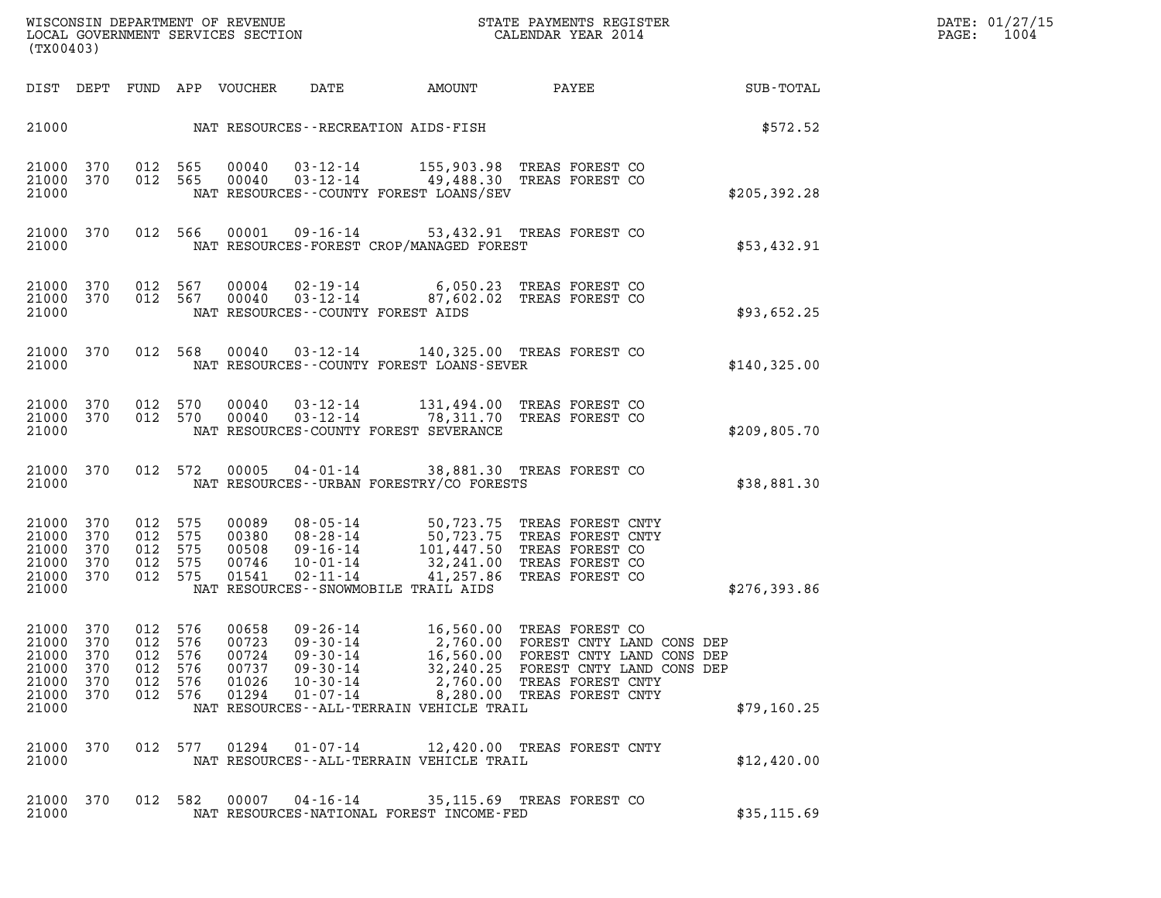| DATE: 01/2       |    |
|------------------|----|
| $\mathtt{PAGE:}$ | 10 |

(TX00403)

| (TX00403)                                                                                             |                                                                                                                                        |                                                                                                                                                                                                                    |                                                                                                                                                            |               |
|-------------------------------------------------------------------------------------------------------|----------------------------------------------------------------------------------------------------------------------------------------|--------------------------------------------------------------------------------------------------------------------------------------------------------------------------------------------------------------------|------------------------------------------------------------------------------------------------------------------------------------------------------------|---------------|
| DIST<br>DEPT                                                                                          | FUND<br>APP<br>VOUCHER                                                                                                                 | DATE<br>AMOUNT                                                                                                                                                                                                     | PAYEE                                                                                                                                                      | SUB-TOTAL     |
| 21000                                                                                                 |                                                                                                                                        | NAT RESOURCES - - RECREATION AIDS - FISH                                                                                                                                                                           |                                                                                                                                                            | \$572.52      |
| 21000<br>370<br>21000<br>370<br>21000                                                                 | 012<br>565<br>00040<br>012<br>565<br>00040                                                                                             | $03 - 12 - 14$<br>$03 - 12 - 14$<br>49,488.30<br>NAT RESOURCES--COUNTY FOREST LOANS/SEV                                                                                                                            | 155,903.98 TREAS FOREST CO<br>TREAS FOREST CO                                                                                                              | \$205,392.28  |
| 370<br>21000<br>21000                                                                                 | 012<br>566<br>00001                                                                                                                    | $09 - 16 - 14$<br>NAT RESOURCES-FOREST CROP/MANAGED FOREST                                                                                                                                                         | 53,432.91 TREAS FOREST CO                                                                                                                                  | \$53,432.91   |
| 370<br>21000<br>21000<br>370<br>21000                                                                 | 012<br>567<br>00004<br>012<br>567<br>00040                                                                                             | 6,050.23<br>$02 - 19 - 14$<br>$03 - 12 - 14$<br>87,602.02<br>NAT RESOURCES - COUNTY FOREST AIDS                                                                                                                    | TREAS FOREST CO<br>TREAS FOREST CO                                                                                                                         | \$93,652.25   |
| 370<br>21000<br>21000                                                                                 | 012<br>568<br>00040                                                                                                                    | $03 - 12 - 14$<br>140,325.00<br>NAT RESOURCES - - COUNTY FOREST LOANS - SEVER                                                                                                                                      | TREAS FOREST CO                                                                                                                                            | \$140,325.00  |
| 21000<br>370<br>21000<br>370<br>21000                                                                 | 012<br>570<br>00040<br>012<br>570<br>00040                                                                                             | $03 - 12 - 14$<br>131,494.00<br>$03 - 12 - 14$<br>78,311.70<br>NAT RESOURCES-COUNTY FOREST SEVERANCE                                                                                                               | TREAS FOREST CO<br>TREAS FOREST CO                                                                                                                         | \$209,805.70  |
| 21000<br>370<br>21000                                                                                 | 012<br>572<br>00005                                                                                                                    | $04 - 01 - 14$<br>NAT RESOURCES--URBAN FORESTRY/CO FORESTS                                                                                                                                                         | 38,881.30 TREAS FOREST CO                                                                                                                                  | \$38,881.30   |
| 21000<br>370<br>21000<br>370<br>21000<br>370<br>21000<br>370<br>21000<br>370<br>21000                 | 012<br>575<br>00089<br>012<br>575<br>00380<br>012<br>575<br>00508<br>012<br>575<br>00746<br>012<br>575<br>01541                        | $08 - 05 - 14$<br>50,723.75<br>$08 - 28 - 14$<br>50,723.75<br>$09 - 16 - 14$<br>101,447.50<br>$10 - 01 - 14$<br>32,241.00<br>$02 - 11 - 14$<br>41,257.86<br>NAT RESOURCES - - SNOWMOBILE TRAIL AIDS                | TREAS FOREST CNTY<br>TREAS FOREST CNTY<br>TREAS FOREST CO<br>TREAS FOREST CO<br>TREAS FOREST CO                                                            | \$276, 393.86 |
| 21000<br>370<br>21000<br>370<br>21000<br>370<br>21000<br>370<br>21000<br>370<br>370<br>21000<br>21000 | 012<br>576<br>00658<br>012<br>576<br>00723<br>012<br>576<br>00724<br>012<br>576<br>00737<br>012<br>576<br>01026<br>012<br>576<br>01294 | $09 - 26 - 14$<br>16,560.00<br>$09 - 30 - 14$<br>2,760.00<br>$09 - 30 - 14$<br>$09 - 30 - 14$<br>32,240.25<br>$10 - 30 - 14$<br>2,760.00<br>$01 - 07 - 14$<br>8,280.00<br>NAT RESOURCES--ALL-TERRAIN VEHICLE TRAIL | TREAS FOREST CO<br>FOREST CNTY LAND CONS DEP<br>16,560.00 FOREST CNTY LAND CONS DEP<br>FOREST CNTY LAND CONS DEP<br>TREAS FOREST CNTY<br>TREAS FOREST CNTY | \$79,160.25   |
| 21000<br>370<br>21000                                                                                 | 012<br>577<br>01294                                                                                                                    | $01 - 07 - 14$<br>NAT RESOURCES--ALL-TERRAIN VEHICLE TRAIL                                                                                                                                                         | 12,420.00 TREAS FOREST CNTY                                                                                                                                | \$12,420.00   |
| 21000<br>370<br>21000                                                                                 | 012<br>582<br>00007                                                                                                                    | $04 - 16 - 14$<br>NAT RESOURCES-NATIONAL FOREST INCOME-FED                                                                                                                                                         | 35,115.69 TREAS FOREST CO                                                                                                                                  | \$35,115.69   |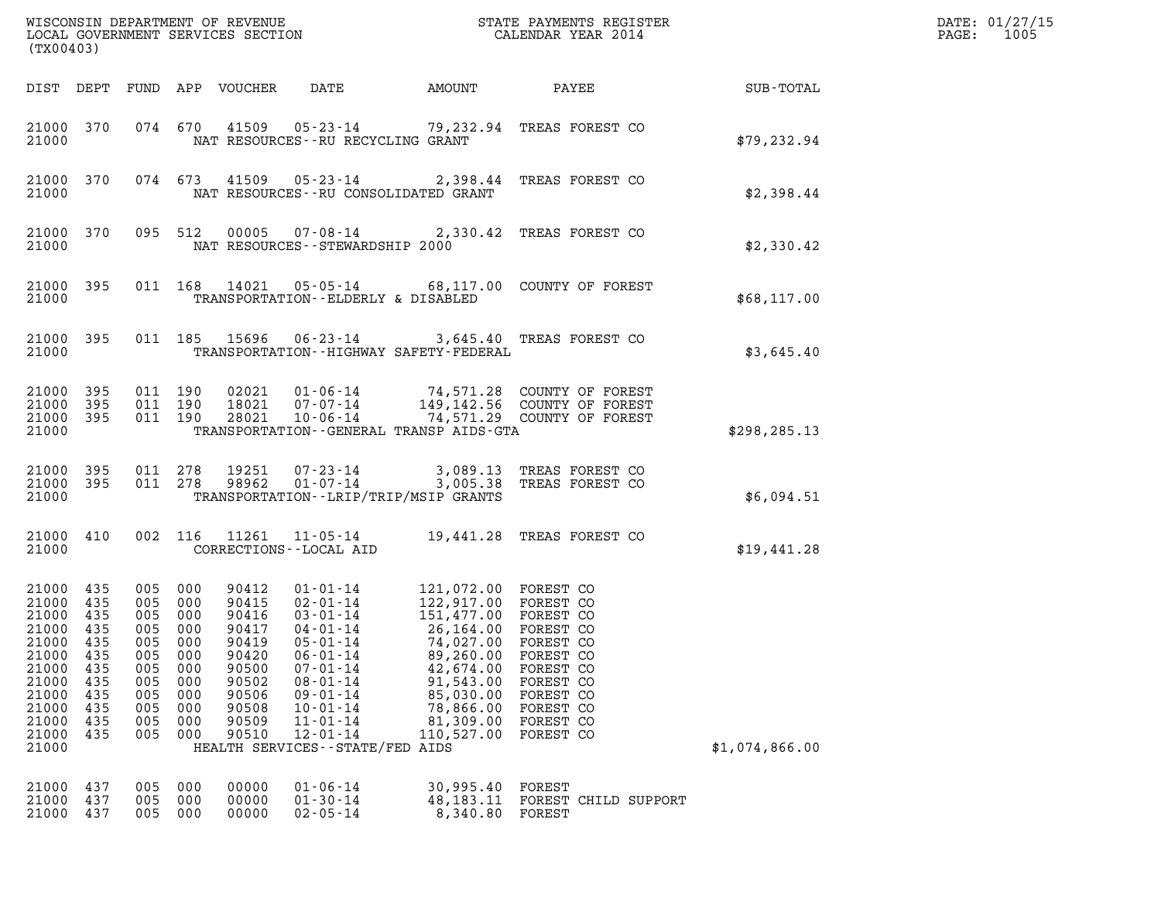| (TX00403)                                                                                                                     |                                                             |                                                                                                  |                                                      |                                                                                                          |                                                                                                                                                                                                                                                      |                                                                                                                                                                               |                                                                                                                                               |                | DATE: 01/27/15<br>1005<br>PAGE: |
|-------------------------------------------------------------------------------------------------------------------------------|-------------------------------------------------------------|--------------------------------------------------------------------------------------------------|------------------------------------------------------|----------------------------------------------------------------------------------------------------------|------------------------------------------------------------------------------------------------------------------------------------------------------------------------------------------------------------------------------------------------------|-------------------------------------------------------------------------------------------------------------------------------------------------------------------------------|-----------------------------------------------------------------------------------------------------------------------------------------------|----------------|---------------------------------|
|                                                                                                                               |                                                             |                                                                                                  |                                                      | DIST DEPT FUND APP VOUCHER                                                                               | DATE                                                                                                                                                                                                                                                 | AMOUNT                                                                                                                                                                        | PAYEE                                                                                                                                         | SUB-TOTAL      |                                 |
| 21000 370<br>21000                                                                                                            |                                                             |                                                                                                  | 074 670                                              |                                                                                                          | NAT RESOURCES--RU RECYCLING GRANT                                                                                                                                                                                                                    |                                                                                                                                                                               | 41509  05-23-14  79,232.94  TREAS FOREST CO                                                                                                   | \$79, 232.94   |                                 |
| 21000 370<br>21000                                                                                                            |                                                             |                                                                                                  | 074 673                                              |                                                                                                          | NAT RESOURCES - - RU CONSOLIDATED GRANT                                                                                                                                                                                                              |                                                                                                                                                                               | 41509  05-23-14  2,398.44  TREAS FOREST CO                                                                                                    | \$2,398.44     |                                 |
| 21000 370<br>21000                                                                                                            |                                                             |                                                                                                  |                                                      | 095 512 00005                                                                                            | NAT RESOURCES - - STEWARDSHIP 2000                                                                                                                                                                                                                   |                                                                                                                                                                               | 07-08-14 2,330.42 TREAS FOREST CO                                                                                                             | \$2,330.42     |                                 |
| 21000 395<br>21000                                                                                                            |                                                             |                                                                                                  |                                                      | 011 168 14021                                                                                            | TRANSPORTATION--ELDERLY & DISABLED                                                                                                                                                                                                                   |                                                                                                                                                                               | 05-05-14 68,117.00 COUNTY OF FOREST                                                                                                           | \$68,117.00    |                                 |
| 21000 395<br>21000                                                                                                            |                                                             |                                                                                                  |                                                      |                                                                                                          | TRANSPORTATION - - HIGHWAY SAFETY - FEDERAL                                                                                                                                                                                                          |                                                                                                                                                                               | 011 185 15696 06-23-14 3,645.40 TREAS FOREST CO                                                                                               | \$3,645.40     |                                 |
| 21000 395<br>21000 395<br>21000 395<br>21000                                                                                  |                                                             | 011 190                                                                                          | 011 190<br>011 190                                   |                                                                                                          | TRANSPORTATION - - GENERAL TRANSP AIDS - GTA                                                                                                                                                                                                         |                                                                                                                                                                               | 02021  01-06-14  74,571.28  COUNTY OF FOREST<br>18021  07-07-14  149,142.56  COUNTY OF FOREST<br>28021  10-06-14  74,571.29  COUNTY OF FOREST | \$298, 285.13  |                                 |
| 21000 395<br>21000 395<br>21000                                                                                               |                                                             | 011 278                                                                                          | 011 278                                              | 19251<br>98962                                                                                           | 07-23-14<br>$01 - 07 - 14$<br>TRANSPORTATION - - LRIP/TRIP/MSIP GRANTS                                                                                                                                                                               |                                                                                                                                                                               | 3,089.13 TREAS FOREST CO<br>3,005.38 TREAS FOREST CO                                                                                          | \$6,094.51     |                                 |
| 21000 410<br>21000                                                                                                            |                                                             |                                                                                                  | 002 116                                              |                                                                                                          | CORRECTIONS - - LOCAL AID                                                                                                                                                                                                                            |                                                                                                                                                                               | 11261  11-05-14  19,441.28 TREAS FOREST CO                                                                                                    | \$19,441.28    |                                 |
| 21000 435<br>21000 435<br>21000<br>21000 435<br>21000<br>21000<br>21000<br>21000<br>21000<br>21000<br>21000<br>21000<br>21000 | 435<br>435<br>435<br>435<br>435<br>435<br>435<br>435<br>435 | 005 000<br>005 000<br>005 000<br>005 000<br>005<br>005<br>005<br>005<br>005<br>005<br>005<br>005 | 000<br>000<br>000<br>000<br>000<br>000<br>000<br>000 | 90412<br>90415<br>90416<br>90417<br>90419<br>90420<br>90500<br>90502<br>90506<br>90508<br>90509<br>90510 | $01 - 01 - 14$<br>02-01-14<br>$03 - 01 - 14$<br>$04 - 01 - 14$<br>$05 - 01 - 14$<br>$06 - 01 - 14$<br>$07 - 01 - 14$<br>$08 - 01 - 14$<br>$09 - 01 - 14$<br>$10 - 01 - 14$<br>$11 - 01 - 14$<br>$12 - 01 - 14$<br>HEALTH SERVICES - - STATE/FED AIDS | 121,072.00 FOREST CO<br>122,917.00 FOREST CO<br>151,477.00 FOREST CO<br>74,027.00<br>89,260.00<br>42,674.00<br>91,543.00<br>85,030.00<br>78,866.00<br>81,309.00<br>110,527.00 | 26,164.00 FOREST CO<br>FOREST CO<br>FOREST CO<br>FOREST CO<br>FOREST CO<br>FOREST CO<br>FOREST CO<br>FOREST CO<br>FOREST CO                   | \$1,074,866.00 |                                 |
| 21000<br>21000<br>21000                                                                                                       | 437<br>437<br>437                                           | 005<br>005<br>005                                                                                | 000<br>000<br>000                                    | 00000<br>00000<br>00000                                                                                  | $01 - 06 - 14$<br>$01 - 30 - 14$<br>$02 - 05 - 14$                                                                                                                                                                                                   | 30,995.40<br>48, 183. 11<br>8,340.80                                                                                                                                          | FOREST<br>FOREST CHILD SUPPORT<br>FOREST                                                                                                      |                |                                 |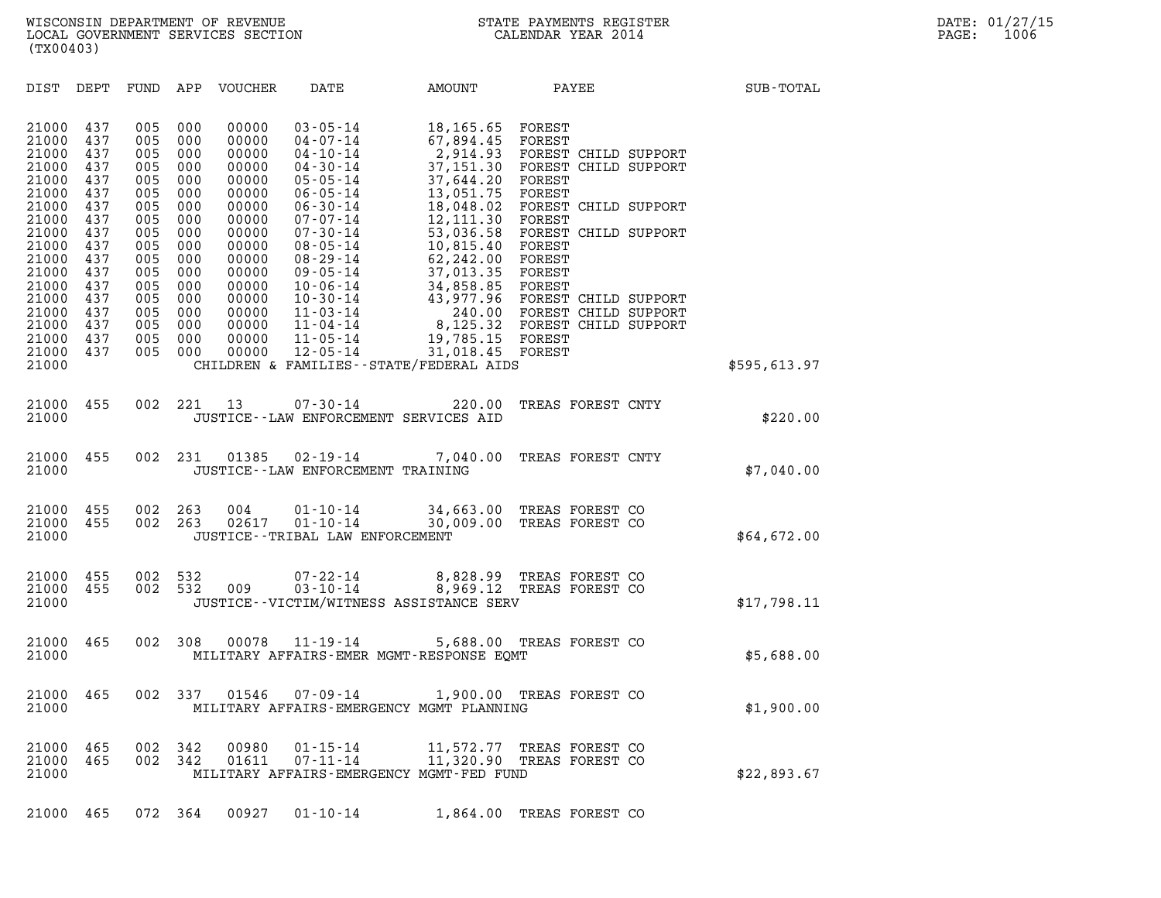| (TX00403)                                                                                                                                                      |                                                                                                                            |                                                                                                                            |                                                                                                                            |                                                                                                                                                                |                                                                                                                                                                                                                                                                                                                                  |                                                                                                                                                                                                                                   |                                                                                                                                                                                                                                                                                    |              |  |
|----------------------------------------------------------------------------------------------------------------------------------------------------------------|----------------------------------------------------------------------------------------------------------------------------|----------------------------------------------------------------------------------------------------------------------------|----------------------------------------------------------------------------------------------------------------------------|----------------------------------------------------------------------------------------------------------------------------------------------------------------|----------------------------------------------------------------------------------------------------------------------------------------------------------------------------------------------------------------------------------------------------------------------------------------------------------------------------------|-----------------------------------------------------------------------------------------------------------------------------------------------------------------------------------------------------------------------------------|------------------------------------------------------------------------------------------------------------------------------------------------------------------------------------------------------------------------------------------------------------------------------------|--------------|--|
| DIST                                                                                                                                                           | DEPT                                                                                                                       | FUND                                                                                                                       | APP                                                                                                                        | VOUCHER                                                                                                                                                        | DATE                                                                                                                                                                                                                                                                                                                             | <b>AMOUNT</b>                                                                                                                                                                                                                     | PAYEE                                                                                                                                                                                                                                                                              | SUB-TOTAL    |  |
| 21000<br>21000<br>21000<br>21000<br>21000<br>21000<br>21000<br>21000<br>21000<br>21000<br>21000<br>21000<br>21000<br>21000<br>21000<br>21000<br>21000<br>21000 | 437<br>437<br>437<br>437<br>437<br>437<br>437<br>437<br>437<br>437<br>437<br>437<br>437<br>437<br>437<br>437<br>437<br>437 | 005<br>005<br>005<br>005<br>005<br>005<br>005<br>005<br>005<br>005<br>005<br>005<br>005<br>005<br>005<br>005<br>005<br>005 | 000<br>000<br>000<br>000<br>000<br>000<br>000<br>000<br>000<br>000<br>000<br>000<br>000<br>000<br>000<br>000<br>000<br>000 | 00000<br>00000<br>00000<br>00000<br>00000<br>00000<br>00000<br>00000<br>00000<br>00000<br>00000<br>00000<br>00000<br>00000<br>00000<br>00000<br>00000<br>00000 | $03 - 05 - 14$<br>$04 - 07 - 14$<br>$04 - 10 - 14$<br>$04 - 30 - 14$<br>$05 - 05 - 14$<br>$06 - 05 - 14$<br>$06 - 30 - 14$<br>$07 - 07 - 14$<br>$07 - 30 - 14$<br>$08 - 05 - 14$<br>$08 - 29 - 14$<br>$09 - 05 - 14$<br>$10 - 06 - 14$<br>$10 - 30 - 14$<br>$11 - 03 - 14$<br>$11 - 04 - 14$<br>$11 - 05 - 14$<br>$12 - 05 - 14$ | 18,165.65<br>67,894.45<br>2,914.93<br>37,151.30<br>37,644.20<br>13,051.75<br>18,048.02<br>12,111.30<br>53,036.58<br>10,815.40<br>62,242.00<br>37,013.35<br>34,858.85<br>43,977.96<br>240.00<br>8,125.32<br>19,785.15<br>31,018.45 | FOREST<br>FOREST<br>FOREST CHILD SUPPORT<br>FOREST CHILD SUPPORT<br>FOREST<br>FOREST<br>FOREST CHILD SUPPORT<br>FOREST<br>FOREST CHILD SUPPORT<br>FOREST<br>FOREST<br>FOREST<br>FOREST<br>FOREST CHILD SUPPORT<br>FOREST CHILD SUPPORT<br>FOREST CHILD SUPPORT<br>FOREST<br>FOREST |              |  |
| 21000                                                                                                                                                          |                                                                                                                            |                                                                                                                            |                                                                                                                            |                                                                                                                                                                | CHILDREN & FAMILIES - - STATE/FEDERAL AIDS                                                                                                                                                                                                                                                                                       |                                                                                                                                                                                                                                   |                                                                                                                                                                                                                                                                                    | \$595,613.97 |  |
| 21000<br>21000                                                                                                                                                 | 455                                                                                                                        | 002                                                                                                                        | 221                                                                                                                        | 13                                                                                                                                                             | $07 - 30 - 14$<br>JUSTICE -- LAW ENFORCEMENT SERVICES AID                                                                                                                                                                                                                                                                        | 220.00                                                                                                                                                                                                                            | TREAS FOREST CNTY                                                                                                                                                                                                                                                                  | \$220.00     |  |
| 21000<br>21000                                                                                                                                                 | 455                                                                                                                        | 002                                                                                                                        | 231                                                                                                                        | 01385                                                                                                                                                          | $02 - 19 - 14$<br>JUSTICE--LAW ENFORCEMENT TRAINING                                                                                                                                                                                                                                                                              | 7,040.00                                                                                                                                                                                                                          | TREAS FOREST CNTY                                                                                                                                                                                                                                                                  | \$7,040.00   |  |
| 21000<br>21000<br>21000                                                                                                                                        | 455<br>455                                                                                                                 | 002<br>002                                                                                                                 | 263<br>263                                                                                                                 | 004<br>02617                                                                                                                                                   | $01 - 10 - 14$<br>$01 - 10 - 14$<br>JUSTICE - TRIBAL LAW ENFORCEMENT                                                                                                                                                                                                                                                             | 34,663.00<br>30,009.00                                                                                                                                                                                                            | TREAS FOREST CO<br>TREAS FOREST CO                                                                                                                                                                                                                                                 | \$64,672.00  |  |
| 21000<br>21000<br>21000                                                                                                                                        | 455<br>455                                                                                                                 | 002<br>002                                                                                                                 | 532<br>532                                                                                                                 | 009                                                                                                                                                            | $07 - 22 - 14$<br>$03 - 10 - 14$<br>JUSTICE - - VICTIM/WITNESS ASSISTANCE SERV                                                                                                                                                                                                                                                   | 8,828.99<br>8,969.12                                                                                                                                                                                                              | TREAS FOREST CO<br>TREAS FOREST CO                                                                                                                                                                                                                                                 | \$17,798.11  |  |
| 21000<br>21000                                                                                                                                                 | 465                                                                                                                        | 002                                                                                                                        | 308                                                                                                                        | 00078                                                                                                                                                          | $11 - 19 - 14$<br>MILITARY AFFAIRS-EMER MGMT-RESPONSE EOMT                                                                                                                                                                                                                                                                       | 5,688.00                                                                                                                                                                                                                          | TREAS FOREST CO                                                                                                                                                                                                                                                                    | \$5,688.00   |  |
| 21000<br>21000                                                                                                                                                 | 465                                                                                                                        | 002                                                                                                                        | 337                                                                                                                        | 01546                                                                                                                                                          | $07 - 09 - 14$<br>MILITARY AFFAIRS-EMERGENCY MGMT PLANNING                                                                                                                                                                                                                                                                       | 1,900.00                                                                                                                                                                                                                          | TREAS FOREST CO                                                                                                                                                                                                                                                                    | \$1,900.00   |  |
| 21000<br>21000<br>21000                                                                                                                                        | 465<br>465                                                                                                                 | 002<br>002                                                                                                                 | 342<br>342                                                                                                                 | 00980<br>01611                                                                                                                                                 | $01 - 15 - 14$<br>$07 - 11 - 14$<br>MILITARY AFFAIRS-EMERGENCY MGMT-FED FUND                                                                                                                                                                                                                                                     |                                                                                                                                                                                                                                   | 11,572.77 TREAS FOREST CO<br>11,320.90 TREAS FOREST CO                                                                                                                                                                                                                             | \$22,893.67  |  |
| 21000                                                                                                                                                          | 465                                                                                                                        | 072 364                                                                                                                    |                                                                                                                            | 00927                                                                                                                                                          | $01 - 10 - 14$                                                                                                                                                                                                                                                                                                                   | 1,864.00                                                                                                                                                                                                                          | TREAS FOREST CO                                                                                                                                                                                                                                                                    |              |  |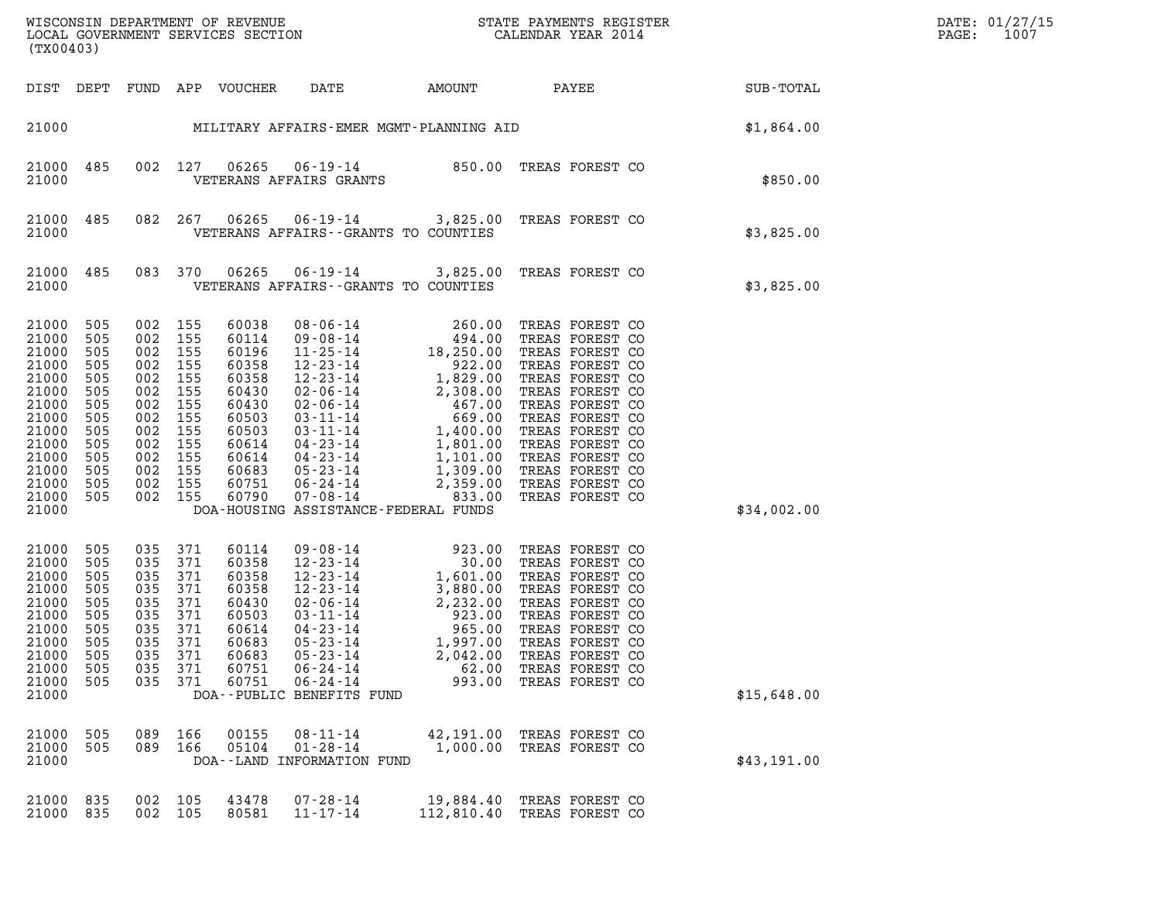| $\texttt{DATE}$ : | 01/27/15 |
|-------------------|----------|
| PAGE:             | 1007     |

WISCONSIN DEPARTMENT OF REVENUE<br>LOCAL GOVERNMENT SERVICES SECTION STATE PAYMENTS REGISTER SECONDER STATE PASS: DATE: 01/27/15 LOCAL GOVERNMENT SERVICES SECTION CALENDAR YEAR 2014 PAGE: 1007 (TX00403)

| AMOUNT PAYEE<br>FUND APP VOUCHER DATE<br>DIST<br>DEPT<br>MILITARY AFFAIRS-EMER MGMT-PLANNING AID<br>21000<br>27 06265 06-19-14 850.00 TREAS FOREST CO<br>VETERANS AFFAIRS GRANTS<br>485<br>002 127<br>21000<br>21000<br>06-19-14 3,825.00 TREAS FOREST CO<br>21000<br>485<br>082 267<br>06265<br>21000<br>VETERANS AFFAIRS -- GRANTS TO COUNTIES<br>21000<br>485<br>083 370<br>06265<br>06-19-14 3,825.00 TREAS FOREST CO<br>VETERANS AFFAIRS -- GRANTS TO COUNTIES<br>21000<br>21000<br>505<br>002<br>155<br>60038<br>$\begin{array}{cccc} 08\text{ - } 06\text{ - } 14 & 260\text{ .} \ 0 \\ 09\text{ - } 08\text{ - } 14 & 494\text{ .} \ 0 \\ 11\text{ - } 25\text{ - } 14 & 18\text{ , } 250\text{ .} \ 00 \\ 12\text{ - } 23\text{ - } 14 & 1,829\text{ .} \ 00 \\ 02\text{ - } 06\text{ - } 14 & 2,308\text{ .} \ 00 \\ 03\text{ - } 11\text{ - } 14 & 669\text{ .} \ 00$<br>TREAS FOREST CO<br>21000<br>505<br>002<br>155<br>60114<br>TREAS FOREST CO<br>21000<br>505<br>002<br>155<br>60196<br>TREAS FOREST CO<br>21000<br>505<br>002<br>155<br>60358<br>TREAS FOREST CO<br>21000<br>505<br>002<br>155<br>60358<br>TREAS FOREST CO<br>21000<br>505<br>002<br>155<br>60430<br>TREAS FOREST CO<br>21000<br>505<br>002<br>155<br>60430<br>TREAS FOREST CO<br>21000<br>505<br>002<br>155<br>60503<br>TREAS FOREST CO<br>21000<br>505<br>002<br>155<br>60503<br>TREAS FOREST CO<br>21000<br>505<br>002<br>155<br>60614<br>TREAS FOREST CO<br>21000<br>505<br>002<br>155<br>60614<br>TREAS FOREST CO<br>21000<br>505<br>002<br>155<br>60683<br>TREAS FOREST CO<br>21000<br>505<br>002<br>155<br>60751<br>TREAS FOREST CO<br>21000<br>505<br>002<br>155<br>60790<br>TREAS FOREST CO<br>21000<br>DOA-HOUSING ASSISTANCE-FEDERAL FUNDS<br>71 60114 09-08-14 923.00<br>71 60358 12-23-14 30.00<br>71 60358 12-23-14 1,601.00<br>71 60358 12-23-14 3,880.00<br>71 60430 02-06-14 3,880.00<br>71 60503 03-11-14 923.00<br>71 60614 04-23-14 965.00<br>71 60683 05-23-14 1,997.00<br>71 6068<br>21000<br>505<br>035<br>371<br>TREAS FOREST CO<br>21000<br>505<br>035<br>371<br>TREAS FOREST CO<br>21000<br>505<br>035<br>371<br>TREAS FOREST CO<br>21000<br>505<br>035<br>371<br>TREAS FOREST CO<br>21000<br>505<br>035<br>371<br>TREAS FOREST CO<br>21000<br>505<br>035<br>371<br>TREAS FOREST CO<br>21000<br>505<br>035<br>371<br>TREAS FOREST CO<br>21000<br>505<br>035<br>371<br>TREAS FOREST CO<br>21000<br>505<br>035<br>371<br>TREAS FOREST CO<br>21000<br>505<br>035<br>371<br>TREAS FOREST CO<br>21000<br>505<br>035<br>371<br>TREAS FOREST CO<br>21000 |             |
|--------------------------------------------------------------------------------------------------------------------------------------------------------------------------------------------------------------------------------------------------------------------------------------------------------------------------------------------------------------------------------------------------------------------------------------------------------------------------------------------------------------------------------------------------------------------------------------------------------------------------------------------------------------------------------------------------------------------------------------------------------------------------------------------------------------------------------------------------------------------------------------------------------------------------------------------------------------------------------------------------------------------------------------------------------------------------------------------------------------------------------------------------------------------------------------------------------------------------------------------------------------------------------------------------------------------------------------------------------------------------------------------------------------------------------------------------------------------------------------------------------------------------------------------------------------------------------------------------------------------------------------------------------------------------------------------------------------------------------------------------------------------------------------------------------------------------------------------------------------------------------------------------------------------------------------------------------------------------------------------------------------------------------------------------------------------------------------------------------------------------------------------------------------------------------------------------------------------------------------------------------------------------------------------------------------------------------------------------------------------------------------------------------------------------------------------------------------------------------------------------------------------------------------------------------------|-------------|
|                                                                                                                                                                                                                                                                                                                                                                                                                                                                                                                                                                                                                                                                                                                                                                                                                                                                                                                                                                                                                                                                                                                                                                                                                                                                                                                                                                                                                                                                                                                                                                                                                                                                                                                                                                                                                                                                                                                                                                                                                                                                                                                                                                                                                                                                                                                                                                                                                                                                                                                                                              | SUB-TOTAL   |
|                                                                                                                                                                                                                                                                                                                                                                                                                                                                                                                                                                                                                                                                                                                                                                                                                                                                                                                                                                                                                                                                                                                                                                                                                                                                                                                                                                                                                                                                                                                                                                                                                                                                                                                                                                                                                                                                                                                                                                                                                                                                                                                                                                                                                                                                                                                                                                                                                                                                                                                                                              | \$1,864.00  |
|                                                                                                                                                                                                                                                                                                                                                                                                                                                                                                                                                                                                                                                                                                                                                                                                                                                                                                                                                                                                                                                                                                                                                                                                                                                                                                                                                                                                                                                                                                                                                                                                                                                                                                                                                                                                                                                                                                                                                                                                                                                                                                                                                                                                                                                                                                                                                                                                                                                                                                                                                              | \$850.00    |
|                                                                                                                                                                                                                                                                                                                                                                                                                                                                                                                                                                                                                                                                                                                                                                                                                                                                                                                                                                                                                                                                                                                                                                                                                                                                                                                                                                                                                                                                                                                                                                                                                                                                                                                                                                                                                                                                                                                                                                                                                                                                                                                                                                                                                                                                                                                                                                                                                                                                                                                                                              | \$3,825.00  |
|                                                                                                                                                                                                                                                                                                                                                                                                                                                                                                                                                                                                                                                                                                                                                                                                                                                                                                                                                                                                                                                                                                                                                                                                                                                                                                                                                                                                                                                                                                                                                                                                                                                                                                                                                                                                                                                                                                                                                                                                                                                                                                                                                                                                                                                                                                                                                                                                                                                                                                                                                              | \$3,825.00  |
|                                                                                                                                                                                                                                                                                                                                                                                                                                                                                                                                                                                                                                                                                                                                                                                                                                                                                                                                                                                                                                                                                                                                                                                                                                                                                                                                                                                                                                                                                                                                                                                                                                                                                                                                                                                                                                                                                                                                                                                                                                                                                                                                                                                                                                                                                                                                                                                                                                                                                                                                                              | \$34,002.00 |
|                                                                                                                                                                                                                                                                                                                                                                                                                                                                                                                                                                                                                                                                                                                                                                                                                                                                                                                                                                                                                                                                                                                                                                                                                                                                                                                                                                                                                                                                                                                                                                                                                                                                                                                                                                                                                                                                                                                                                                                                                                                                                                                                                                                                                                                                                                                                                                                                                                                                                                                                                              | \$15,648.00 |
| 089<br>166<br>00155<br>$08 - 11 - 14$<br>42,191.00<br>21000<br>505<br>TREAS FOREST CO<br>21000<br>505<br>089<br>166<br>05104<br>$01 - 28 - 14$<br>1,000.00<br>TREAS FOREST CO<br>21000<br>DOA--LAND INFORMATION FUND                                                                                                                                                                                                                                                                                                                                                                                                                                                                                                                                                                                                                                                                                                                                                                                                                                                                                                                                                                                                                                                                                                                                                                                                                                                                                                                                                                                                                                                                                                                                                                                                                                                                                                                                                                                                                                                                                                                                                                                                                                                                                                                                                                                                                                                                                                                                         | \$43,191.00 |
| 21000<br>835<br>002<br>105<br>43478<br>$07 - 28 - 14$<br>19,884.40<br>TREAS FOREST CO<br>21000<br>835<br>002<br>105<br>80581<br>$11 - 17 - 14$<br>112,810.40<br>TREAS FOREST CO                                                                                                                                                                                                                                                                                                                                                                                                                                                                                                                                                                                                                                                                                                                                                                                                                                                                                                                                                                                                                                                                                                                                                                                                                                                                                                                                                                                                                                                                                                                                                                                                                                                                                                                                                                                                                                                                                                                                                                                                                                                                                                                                                                                                                                                                                                                                                                              |             |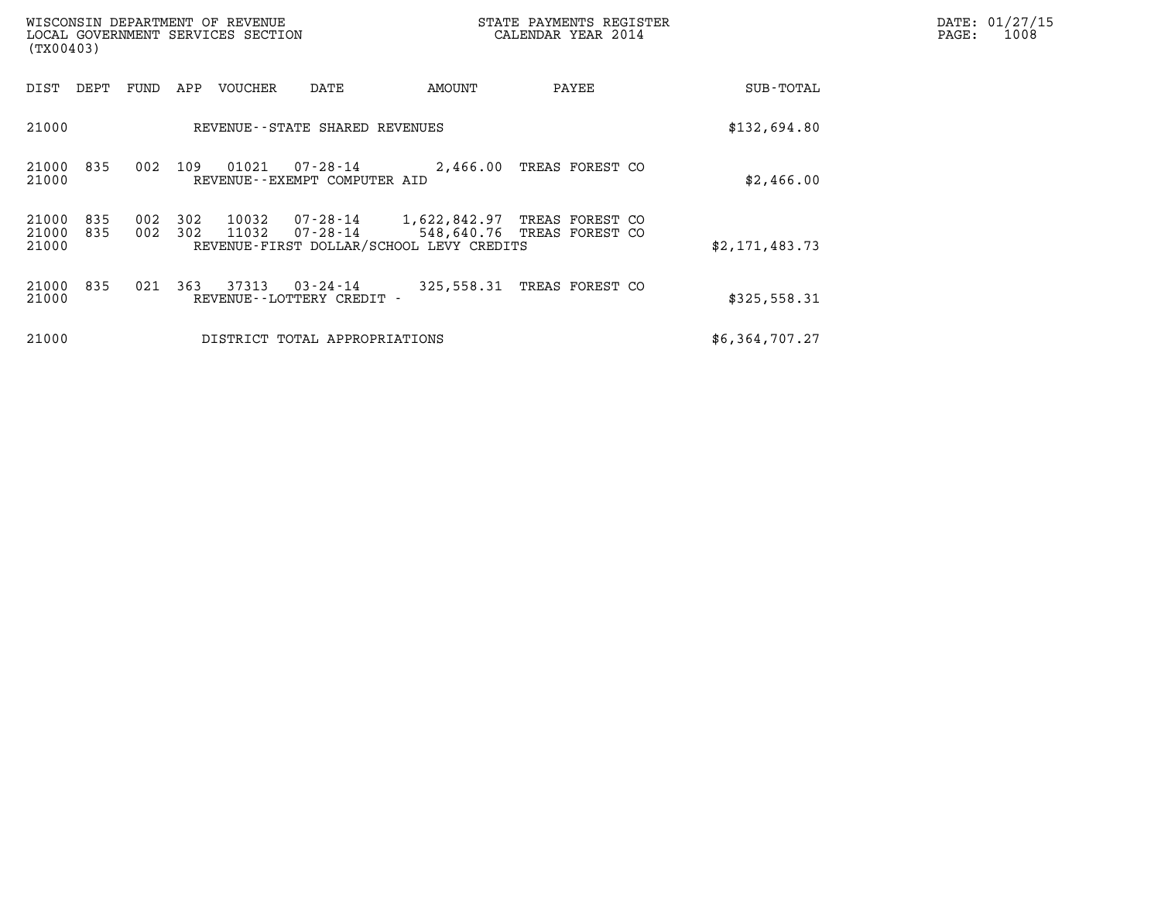| WISCONSIN DEPARTMENT OF REVENUE<br>(TX00403)        | LOCAL GOVERNMENT SERVICES SECTION                                                                | STATE PAYMENTS REGISTER<br>CALENDAR YEAR 2014              | DATE: 01/27/15<br>$\mathtt{PAGE}$ :<br>1008 |  |
|-----------------------------------------------------|--------------------------------------------------------------------------------------------------|------------------------------------------------------------|---------------------------------------------|--|
| DIST DEPT<br>FUND                                   | APP<br>VOUCHER<br>DATE                                                                           | AMOUNT<br>PAYEE                                            | SUB-TOTAL                                   |  |
| 21000                                               | REVENUE--STATE SHARED REVENUES                                                                   |                                                            | \$132,694.80                                |  |
| 21000<br>002<br>835<br>21000                        | 07-28-14<br>01021<br>109<br>REVENUE--EXEMPT COMPUTER AID                                         | 2,466.00 TREAS FOREST CO                                   | \$2,466.00                                  |  |
| 21000<br>002<br>835<br>21000<br>002<br>835<br>21000 | 07-28-14<br>302<br>10032<br>302<br>11032<br>07-28-14<br>REVENUE-FIRST DOLLAR/SCHOOL LEVY CREDITS | 1,622,842.97 TREAS FOREST CO<br>548,640.76 TREAS FOREST CO | \$2,171,483.73                              |  |
| 21000<br>021<br>835<br>21000                        | 363<br>37313<br>$03 - 24 - 14$<br>REVENUE--LOTTERY CREDIT -                                      | 325,558.31 TREAS FOREST CO                                 | \$325,558.31                                |  |
| 21000                                               | DISTRICT TOTAL APPROPRIATIONS                                                                    |                                                            | \$6,364,707.27                              |  |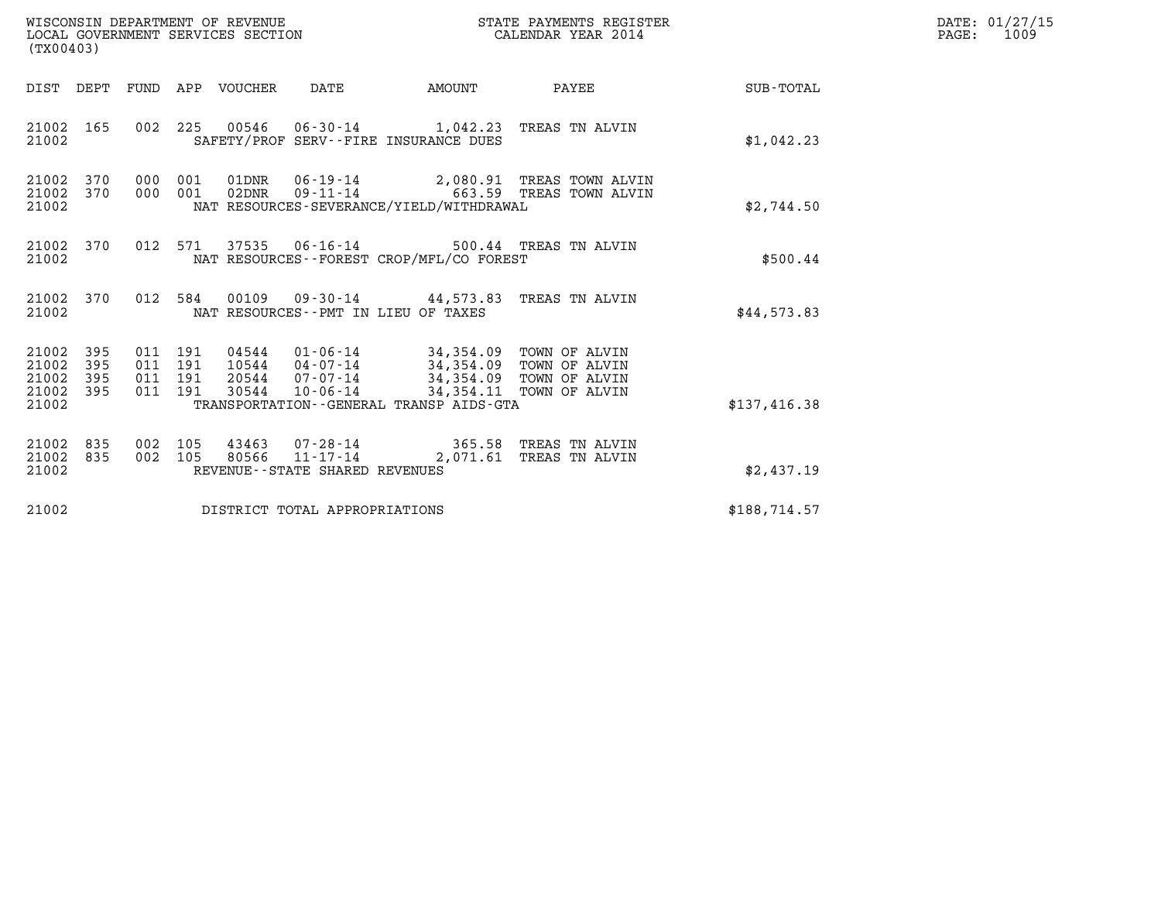| WISCONSIN DEPARTMENT OF REVENUE<br>LOCAL GOVERNMENT SERVICES SECTION | STATE PAYMENTS REGISTER<br>CALENDAR YEAR 2014 | DATE: 01/27/15<br>1009<br>PAGE: |
|----------------------------------------------------------------------|-----------------------------------------------|---------------------------------|

| WISCONSIN DEPARTMENT OF REVENUE<br>LOCAL GOVERNMENT SERVICES SECTION<br>(TX00403) |                   |  |                               |                |                                                  |                                                                                                                                                                                         | STATE PAYMENTS REGISTER<br>CALENDAR YEAR 2014                                  |              | DATE: 01/27/15<br>PAGE:<br>1009 |
|-----------------------------------------------------------------------------------|-------------------|--|-------------------------------|----------------|--------------------------------------------------|-----------------------------------------------------------------------------------------------------------------------------------------------------------------------------------------|--------------------------------------------------------------------------------|--------------|---------------------------------|
|                                                                                   |                   |  |                               |                |                                                  | DIST DEPT FUND APP VOUCHER DATE AMOUNT                                                                                                                                                  | PAYEE                                                                          | SUB-TOTAL    |                                 |
| 21002 165<br>21002                                                                |                   |  |                               |                |                                                  | 002 225 00546 06-30-14 1,042.23 TREAS TN ALVIN<br>SAFETY/PROF SERV--FIRE INSURANCE DUES                                                                                                 |                                                                                | \$1,042.23   |                                 |
| 21002<br>21002<br>21002                                                           | 370<br>370        |  | 000 001                       | 000 001 02DNR  |                                                  | NAT RESOURCES-SEVERANCE/YIELD/WITHDRAWAL                                                                                                                                                | 01DNR  06-19-14  2,080.91 TREAS TOWN ALVIN<br>09-11-14 663.59 TREAS TOWN ALVIN | \$2,744.50   |                                 |
| 21002<br>21002                                                                    | 370               |  |                               |                |                                                  | 012 571 37535 06-16-14 500.44 TREAS TN ALVIN<br>NAT RESOURCES--FOREST CROP/MFL/CO FOREST                                                                                                |                                                                                | \$500.44     |                                 |
| 21002 370<br>21002                                                                |                   |  |                               |                |                                                  | 012 584 00109 09-30-14 44,573.83 TREAS TN ALVIN<br>NAT RESOURCES -- PMT IN LIEU OF TAXES                                                                                                |                                                                                | \$44,573.83  |                                 |
| 21002<br>21002<br>21002<br>21002 395<br>21002                                     | 395<br>395<br>395 |  | 011 191<br>011 191<br>011 191 | 04544          | 10544 04-07-14<br>011 191 30544 10-06-14         | 01-06-14 34,354.09 TOWN OF ALVIN<br>04-07-14 34,354.09 TOWN OF ALVIN<br>07-07-14 34,354.09 TOWN OF ALVIN<br>10-06-14 34,354.11 TOWN OF ALVIN<br>TRANSPORTATION--GENERAL TRANSP AIDS-GTA |                                                                                | \$137,416.38 |                                 |
| 21002<br>21002<br>21002                                                           | 835<br>835        |  | 002 105<br>002 105            | 43463<br>80566 | $11 - 17 - 14$<br>REVENUE--STATE SHARED REVENUES | 07-28-14 365.58 TREAS TN ALVIN                                                                                                                                                          | 2,071.61 TREAS TN ALVIN                                                        | \$2,437.19   |                                 |
| 21002                                                                             |                   |  |                               |                | DISTRICT TOTAL APPROPRIATIONS                    |                                                                                                                                                                                         |                                                                                | \$188,714.57 |                                 |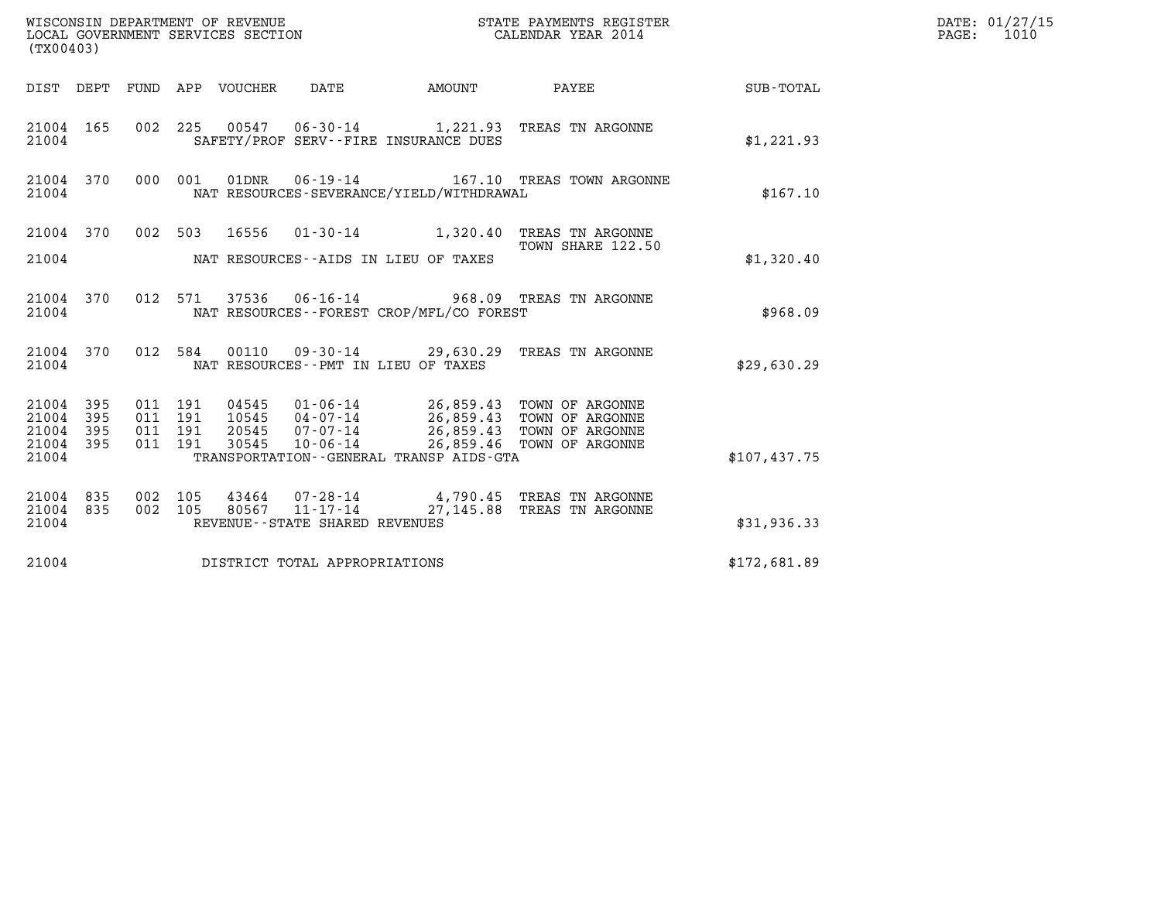| (TX00403)                       |     |                    |                    |                                 |                                  |                                              |                                                                                             |                  | DATE: 01/27/15<br>$\mathtt{PAGE:}$<br>1010 |
|---------------------------------|-----|--------------------|--------------------|---------------------------------|----------------------------------|----------------------------------------------|---------------------------------------------------------------------------------------------|------------------|--------------------------------------------|
|                                 |     |                    |                    | DIST DEPT FUND APP VOUCHER DATE |                                  | AMOUNT                                       | PAYEE                                                                                       | <b>SUB-TOTAL</b> |                                            |
| 21004 165<br>21004              |     |                    |                    |                                 |                                  | SAFETY/PROF SERV--FIRE INSURANCE DUES        | 002 225 00547 06-30-14 1,221.93 TREAS TN ARGONNE                                            | \$1,221.93       |                                            |
| 21004 370<br>21004              |     |                    | 000 001            |                                 |                                  | NAT RESOURCES-SEVERANCE/YIELD/WITHDRAWAL     | 01DNR  06-19-14    167.10 TREAS TOWN ARGONNE                                                | \$167.10         |                                            |
| 21004 370                       |     |                    |                    |                                 |                                  |                                              | 002 503 16556 01-30-14 1,320.40 TREAS TN ARGONNE<br>TOWN SHARE 122.50                       |                  |                                            |
| 21004                           |     |                    |                    |                                 |                                  | NAT RESOURCES--AIDS IN LIEU OF TAXES         |                                                                                             | \$1,320.40       |                                            |
| 21004 370<br>21004              |     |                    |                    |                                 |                                  | NAT RESOURCES - - FOREST CROP/MFL/CO FOREST  | 012 571 37536 06-16-14 968.09 TREAS TN ARGONNE                                              | \$968.09         |                                            |
| 21004 370<br>21004              |     |                    |                    |                                 |                                  | NAT RESOURCES - - PMT IN LIEU OF TAXES       | 012 584 00110 09-30-14 29,630.29 TREAS TN ARGONNE                                           | \$29,630.29      |                                            |
| 21004 395<br>21004 395          |     |                    | 011 191<br>011 191 |                                 |                                  |                                              | 04545  01-06-14  26,859.43  TOWN OF ARGONNE<br>10545  04-07-14  26,859.43  TOWN OF ARGONNE  |                  |                                            |
| 21004<br>21004 395<br>21004     | 395 | 011 191            | 011 191            |                                 | 20545 07-07-14<br>30545 10-06-14 | TRANSPORTATION - - GENERAL TRANSP AIDS - GTA | 26,859.43 TOWN OF ARGONNE<br>26,859.46 TOWN OF ARGONNE                                      | \$107,437.75     |                                            |
|                                 |     |                    |                    |                                 |                                  |                                              |                                                                                             |                  |                                            |
| 21004 835<br>21004 835<br>21004 |     | 002 105<br>002 105 |                    |                                 | REVENUE--STATE SHARED REVENUES   |                                              | 43464  07-28-14  4,790.45  TREAS TN ARGONNE<br>80567  11-17-14  27,145.88  TREAS TN ARGONNE | \$31,936.33      |                                            |
|                                 |     |                    |                    |                                 |                                  |                                              |                                                                                             |                  |                                            |
| 21004                           |     |                    |                    |                                 | DISTRICT TOTAL APPROPRIATIONS    |                                              |                                                                                             | \$172,681.89     |                                            |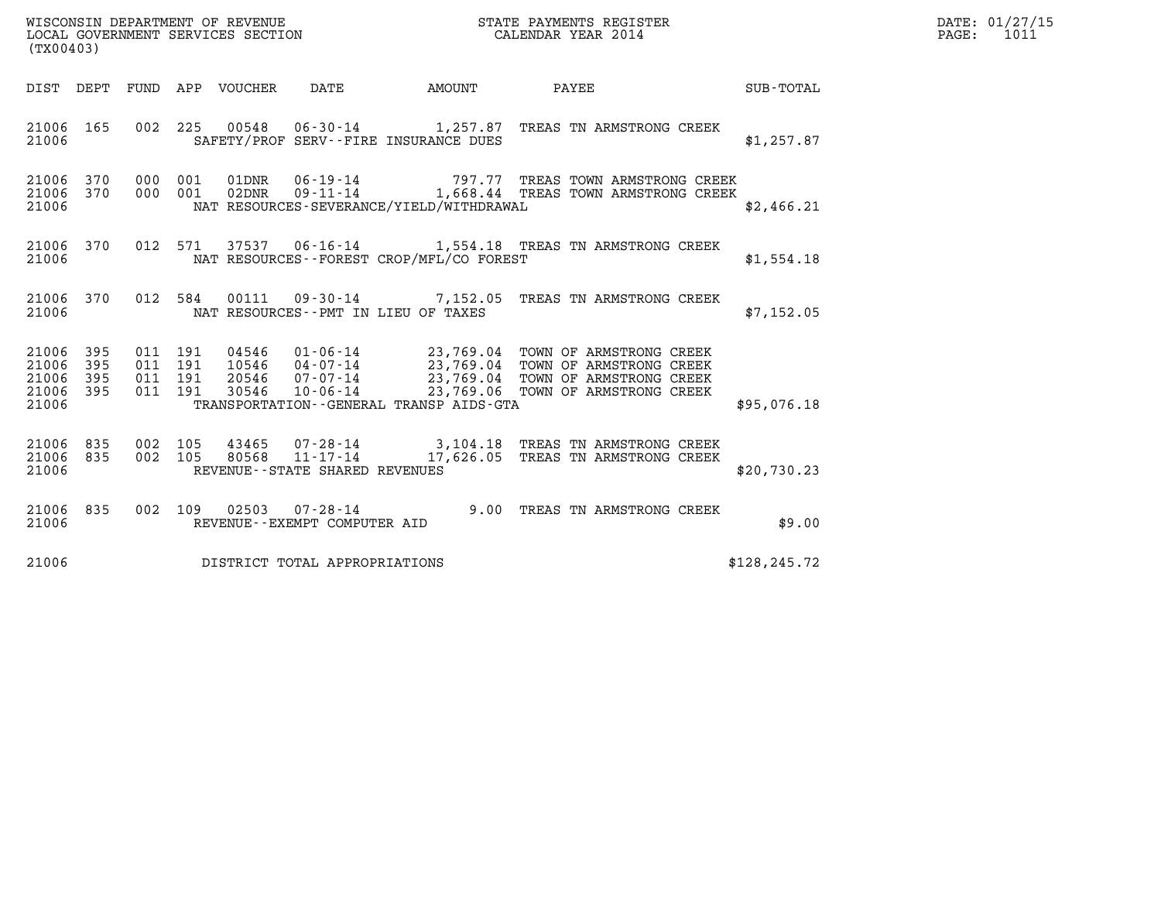| (TX00403)                                                 |                                          |  |                                   |                                          | WISCONSIN DEPARTMENT OF REVENUE<br>LOCAL GOVERNMENT SERVICES SECTION<br>LOCAL GOVERNMENT SERVICES SECTION<br>CALENDAR YEAR 2014                                                                                          |               | DATE: 01/27/15<br>PAGE: 1011 |
|-----------------------------------------------------------|------------------------------------------|--|-----------------------------------|------------------------------------------|--------------------------------------------------------------------------------------------------------------------------------------------------------------------------------------------------------------------------|---------------|------------------------------|
|                                                           |                                          |  |                                   |                                          | DIST DEPT FUND APP VOUCHER DATE AMOUNT PAYEE TO SUB-TOTAL                                                                                                                                                                |               |                              |
| 21006 165<br>21006                                        |                                          |  |                                   | SAFETY/PROF SERV--FIRE INSURANCE DUES    | 002 225 00548 06-30-14 1,257.87 TREAS TN ARMSTRONG CREEK                                                                                                                                                                 | \$1,257.87    |                              |
| 21006 370 000 001<br>21006 370<br>21006                   | 000 001                                  |  |                                   | NAT RESOURCES-SEVERANCE/YIELD/WITHDRAWAL |                                                                                                                                                                                                                          | \$2,466.21    |                              |
| 21006                                                     |                                          |  |                                   | NAT RESOURCES--FOREST CROP/MFL/CO FOREST | 21006 370 012 571 37537 06-16-14 1,554.18 TREAS TN ARMSTRONG CREEK                                                                                                                                                       | \$1,554.18    |                              |
| 21006                                                     |                                          |  |                                   | NAT RESOURCES--PMT IN LIEU OF TAXES      | 21006 370 012 584 00111 09-30-14 7,152.05 TREAS TN ARMSTRONG CREEK                                                                                                                                                       | \$7,152.05    |                              |
| 21006 395<br>21006 395<br>21006 395<br>21006 395<br>21006 | 011 191<br>011 191<br>011 191<br>011 191 |  |                                   | TRANSPORTATION--GENERAL TRANSP AIDS-GTA  | 04546  01-06-14  23,769.04  TOWN OF ARMSTRONG CREEK<br>10546  04-07-14  23,769.04  TOWN OF ARMSTRONG CREEK<br>20546  07-07-14  23,769.04  TOWN OF ARMSTRONG CREEK<br>30546  10-06-14  23,769.06  TOWN OF ARMSTRONG CREEK | \$95,076.18   |                              |
| 21006 835 002 105<br>21006 835<br>21006                   |                                          |  | REVENUE - - STATE SHARED REVENUES |                                          | 002 105 43465 07-28-14 3,104.18 TREAS TN ARMSTRONG CREEK 002 105 80568 11-17-14 17,626.05 TREAS TN ARMSTRONG CREEK                                                                                                       | \$20,730.23   |                              |
| 21006 835<br>21006                                        |                                          |  | REVENUE--EXEMPT COMPUTER AID      |                                          | 002 109 02503 07-28-14 9.00 TREAS TN ARMSTRONG CREEK                                                                                                                                                                     | \$9.00        |                              |
| 21006                                                     |                                          |  | DISTRICT TOTAL APPROPRIATIONS     |                                          |                                                                                                                                                                                                                          | \$128, 245.72 |                              |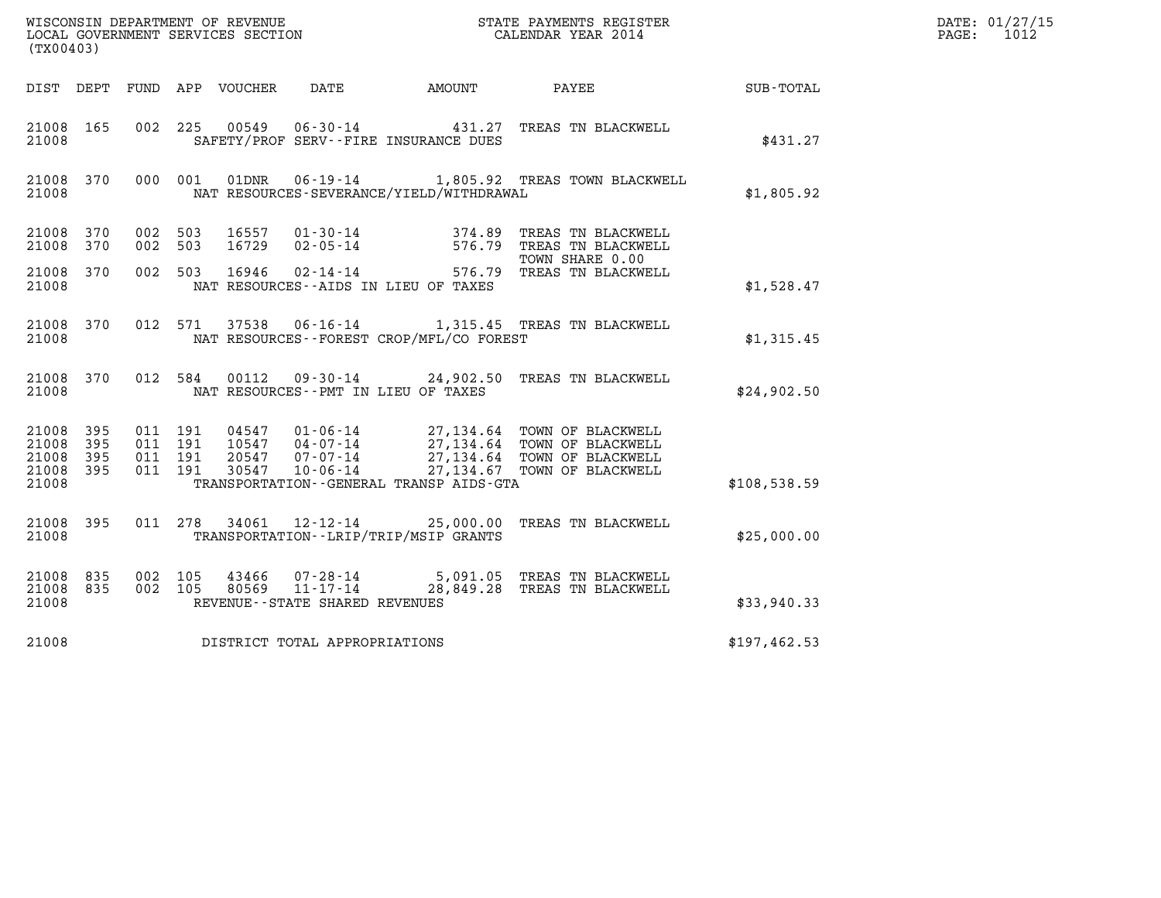| WISCONSIN DEPARTMENT OF REVENUE<br>LOCAL GOVERNMENT SERVICES SECTION | STATE PAYMENTS REGISTER<br>CALENDAR YEAR 2014 | DATE: 01/27/15<br>1012<br>PAGE: |
|----------------------------------------------------------------------|-----------------------------------------------|---------------------------------|

| (TX00403)                                                 |           |                    |       |                                   |                                              | WISCONSIN DEPARTMENT OF REVENUE<br>LOCAL GOVERNMENT SERVICES SECTION<br>CALENDAR YEAR 2014                                                                                                                                                                                                                                                          |              | DATE: 01/27/15<br>PAGE: 1012 |
|-----------------------------------------------------------|-----------|--------------------|-------|-----------------------------------|----------------------------------------------|-----------------------------------------------------------------------------------------------------------------------------------------------------------------------------------------------------------------------------------------------------------------------------------------------------------------------------------------------------|--------------|------------------------------|
|                                                           |           |                    |       |                                   |                                              | DIST DEPT FUND APP VOUCHER DATE AMOUNT PAYEE TOTAL                                                                                                                                                                                                                                                                                                  |              |                              |
| 21008                                                     | 21008 165 |                    |       |                                   | SAFETY/PROF SERV--FIRE INSURANCE DUES        | 002 225 00549 06-30-14 431.27 TREAS TN BLACKWELL                                                                                                                                                                                                                                                                                                    | \$431.27     |                              |
| 21008                                                     | 21008 370 |                    |       |                                   | NAT RESOURCES-SEVERANCE/YIELD/WITHDRAWAL     | 000 001 01DNR  06-19-14  1,805.92 TREAS TOWN BLACKWELL                                                                                                                                                                                                                                                                                              | \$1,805.92   |                              |
| 21008 370<br>21008                                        | 370       | 002 503<br>002 503 |       |                                   |                                              | 16557  01-30-14  374.89 TREAS TN BLACKWELL<br>16729  02-05-14  576.79 TREAS TN BLACKWELL<br>16946  02-14-14  576.79 TREAS TN BLACKWELL                                                                                                                                                                                                              |              |                              |
| 21008<br>21008                                            | 370       | 002 503            |       |                                   | NAT RESOURCES -- AIDS IN LIEU OF TAXES       |                                                                                                                                                                                                                                                                                                                                                     | \$1,528.47   |                              |
| 21008                                                     | 21008 370 |                    |       |                                   | NAT RESOURCES--FOREST CROP/MFL/CO FOREST     | 012 571 37538 06-16-14 1,315.45 TREAS TN BLACKWELL                                                                                                                                                                                                                                                                                                  | \$1,315.45   |                              |
| 21008                                                     | 21008 370 | 012 584            |       |                                   | NAT RESOURCES--PMT IN LIEU OF TAXES          | 00112  09-30-14  24,902.50  TREAS TN BLACKWELL                                                                                                                                                                                                                                                                                                      | \$24,902.50  |                              |
| 21008 395<br>21008 395<br>21008 395<br>21008 395<br>21008 |           |                    |       |                                   | TRANSPORTATION - - GENERAL TRANSP AIDS - GTA | $\begin{array}{cccc} 011 & 191 & 04547 & 01\cdot 06\cdot 14 & 27,134\cdot 64 & \textrm{TOWN OF BLACKWELL} \\ 011 & 191 & 10547 & 04\cdot 07\cdot 14 & 27,134\cdot 64 & \textrm{TOWN OF BLACKWELL} \\ 011 & 191 & 20547 & 07\cdot 07\cdot 14 & 27,134\cdot 64 & \textrm{TOWN OF BLACKWELL} \\ 011 & 191 & 30547 & 10\cdot 06\cdot 14 & 27,134\cdot $ | \$108,538.59 |                              |
| 21008 395<br>21008                                        |           |                    |       |                                   | TRANSPORTATION--LRIP/TRIP/MSIP GRANTS        | 011 278 34061 12-12-14 25,000.00 TREAS TN BLACKWELL                                                                                                                                                                                                                                                                                                 | \$25,000.00  |                              |
| 21008 835<br>21008 835<br>21008                           |           | 002 105<br>002 105 | 43466 | REVENUE - - STATE SHARED REVENUES |                                              | 07-28-14 5,091.05 TREAS TN BLACKWELL<br>80569 11-17-14 28,849.28 TREAS TN BLACKWELL                                                                                                                                                                                                                                                                 | \$33,940.33  |                              |
| 21008                                                     |           |                    |       | DISTRICT TOTAL APPROPRIATIONS     |                                              |                                                                                                                                                                                                                                                                                                                                                     | \$197,462.53 |                              |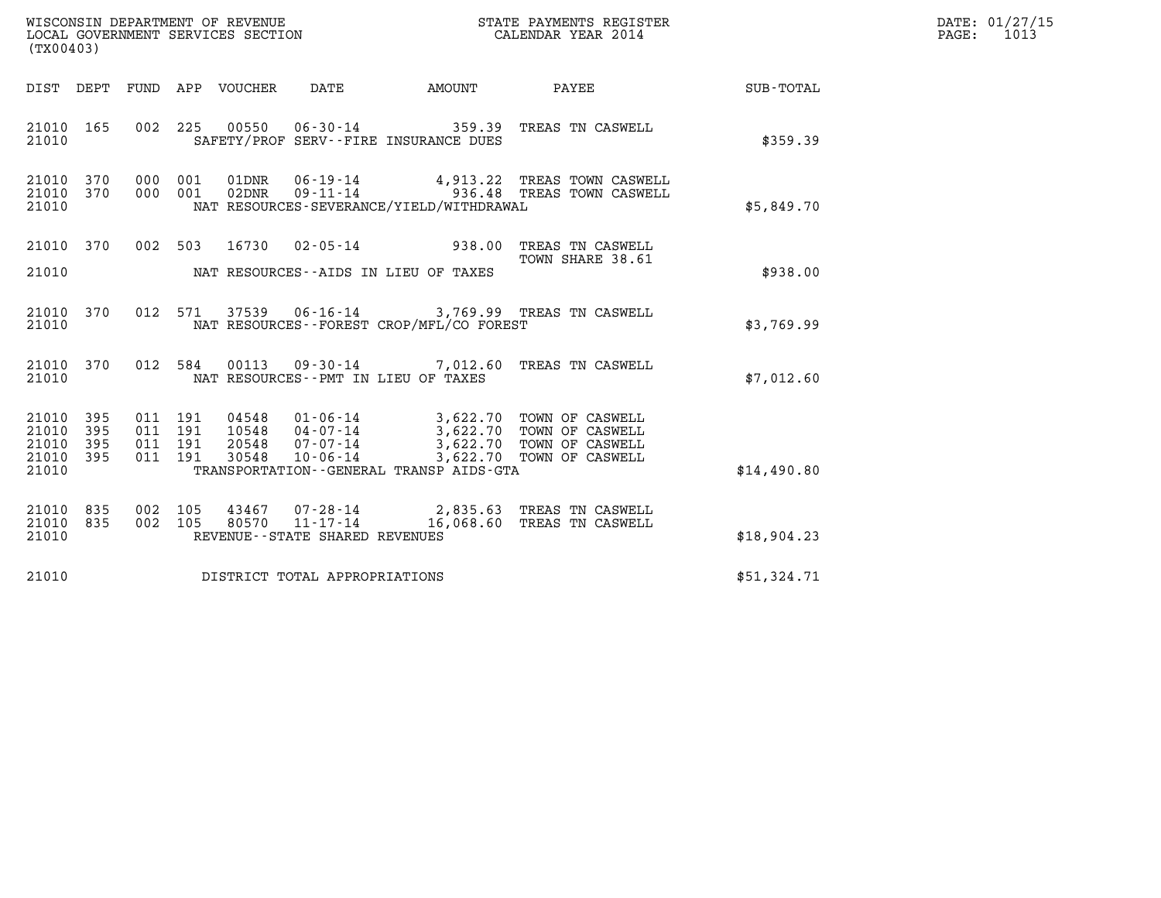| WISCONSIN DEPARTMENT OF REVENUE<br>LOCAL GOVERNMENT SERVICES SECTION | STATE PAYMENTS REGISTER<br>CALENDAR YEAR 2014 | DATE: 01/27/15<br>1013<br>PAGE: |
|----------------------------------------------------------------------|-----------------------------------------------|---------------------------------|

| WISCONSIN DEPARTMENT OF REVENUE<br>(TX00403)        | LOCAL GOVERNMENT SERVICES SECTION                                                          | STATE PAYMENTS REGIS'<br>CALENDAR YEAR 2014<br>STATE PAYMENTS REGISTER           |             |
|-----------------------------------------------------|--------------------------------------------------------------------------------------------|----------------------------------------------------------------------------------|-------------|
| DIST<br>DEPT                                        | FUND APP VOUCHER DATE<br><b>AMOUNT</b>                                                     | PAYEE                                                                            | SUB-TOTAL   |
| 21010<br>165<br>002<br>21010                        | 225<br>SAFETY/PROF SERV--FIRE INSURANCE DUES                                               | 00550  06-30-14  359.39  TREAS TN CASWELL                                        | \$359.39    |
| 370<br>000<br>21010<br>21010<br>370<br>000<br>21010 | 001<br>01DNR<br>$09 - 11 - 14$<br>02DNR<br>001<br>NAT RESOURCES-SEVERANCE/YIELD/WITHDRAWAL | 06-19-14 4,913.22 TREAS TOWN CASWELL<br>936.48 TREAS TOWN CASWELL                | \$5,849.70  |
| 21010<br>370<br>002                                 | 503<br>16730<br>$02 - 05 - 14$ 938.00                                                      | TREAS TN CASWELL<br>TOWN SHARE 38.61                                             |             |
| 21010                                               | NAT RESOURCES--AIDS IN LIEU OF TAXES                                                       |                                                                                  | \$938.00    |
| 21010<br>370<br>012<br>21010                        | 571<br>NAT RESOURCES - - FOREST CROP/MFL/CO FOREST                                         | 37539  06-16-14  3,769.99  TREAS TN CASWELL                                      | \$3,769.99  |
| 012<br>21010<br>370<br>21010                        | 584<br>00113<br>09-30-14 7,012.60<br>NAT RESOURCES - - PMT IN LIEU OF TAXES                | TREAS TN CASWELL                                                                 | \$7,012.60  |
| 21010<br>395<br>011<br>21010<br>395<br>011          | 191<br>191                                                                                 | 3,622.70 TOWN OF CASWELL<br>3,622.70 TOWN OF CASWELL<br>3,622.70 TOWN OF CASWELL |             |
| 21010<br>395<br>011<br>21010<br>395<br>011<br>21010 | 191<br>30548<br>$10 - 06 - 14$<br>191<br>TRANSPORTATION--GENERAL TRANSP AIDS-GTA           | 3,622.70 TOWN OF CASWELL                                                         | \$14,490.80 |
| 21010<br>835<br>002<br>21010<br>835<br>002<br>21010 | 105<br>43467<br>07-28-14<br>105<br>80570<br>REVENUE - - STATE SHARED REVENUES              | 2,835.63 TREAS TN CASWELL<br>11-17-14 16,068.60 TREAS TN CASWELL                 | \$18,904.23 |
| 21010                                               | DISTRICT TOTAL APPROPRIATIONS                                                              |                                                                                  | \$51,324.71 |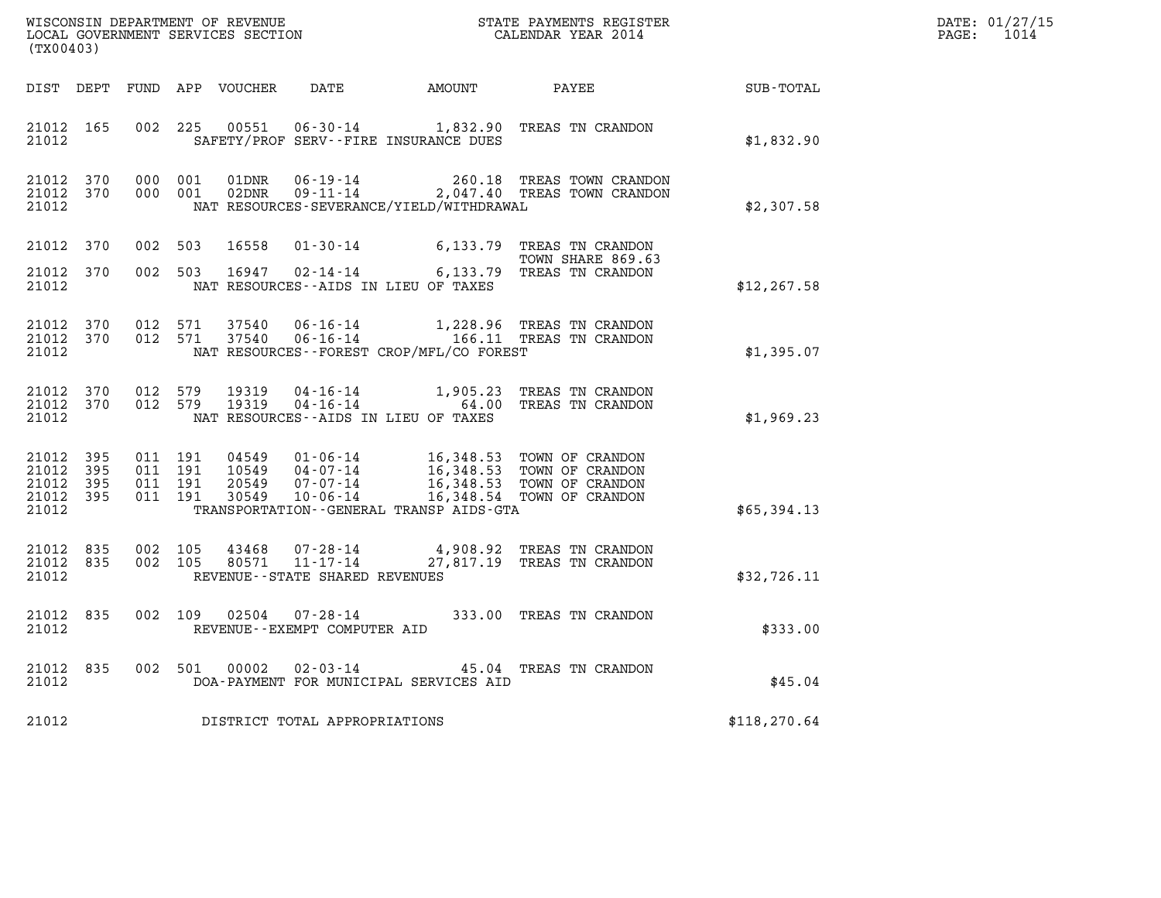| DATE: | 01/27/15 |
|-------|----------|
| PAGE: | 1014     |

| (TX00403)                                    |                                |         |                                          |                |                                      |                                              |                                                                                                                                                                                                                                      |               | DATE: 01/27/15<br>PAGE: 1014 |
|----------------------------------------------|--------------------------------|---------|------------------------------------------|----------------|--------------------------------------|----------------------------------------------|--------------------------------------------------------------------------------------------------------------------------------------------------------------------------------------------------------------------------------------|---------------|------------------------------|
|                                              |                                |         |                                          |                |                                      |                                              | DIST DEPT FUND APP VOUCHER DATE AMOUNT PAYEE TOTAL                                                                                                                                                                                   |               |                              |
| 21012 165<br>21012                           |                                |         |                                          | 002 225 00551  |                                      | SAFETY/PROF SERV--FIRE INSURANCE DUES        | 06-30-14 1,832.90 TREAS TN CRANDON                                                                                                                                                                                                   | \$1,832.90    |                              |
| 21012                                        | 21012 370<br>21012 370         |         | 000 001<br>000 001                       | 01DNR<br>02DNR |                                      | NAT RESOURCES-SEVERANCE/YIELD/WITHDRAWAL     | 06-19-14 260.18 TREAS TOWN CRANDON<br>09-11-14 2,047.40 TREAS TOWN CRANDON                                                                                                                                                           | \$2,307.58    |                              |
| 21012 370<br>21012                           | 21012 370                      |         | 002 503                                  | 16558          |                                      | NAT RESOURCES--AIDS IN LIEU OF TAXES         | 01-30-14 6,133.79 TREAS TN CRANDON<br>TOWN SHARE 869.63<br>002 503 16947 02-14-14 6,133.79 TREAS TN CRANDON                                                                                                                          | \$12, 267.58  |                              |
| 21012                                        | 21012 370 012 571<br>21012 370 |         | 012 571                                  | 37540<br>37540 |                                      | NAT RESOURCES--FOREST CROP/MFL/CO FOREST     | 06-16-14 1,228.96 TREAS TN CRANDON<br>06-16-14 166.11 TREAS TN CRANDON                                                                                                                                                               | \$1,395.07    |                              |
| 21012                                        | 21012 370 012 579<br>21012 370 |         | 012 579                                  | 19319<br>19319 | NAT RESOURCES--AIDS IN LIEU OF TAXES |                                              | 04-16-14 1,905.23 TREAS TN CRANDON<br>04-16-14 64.00 TREAS TN CRANDON                                                                                                                                                                | \$1,969.23    |                              |
| 21012 395<br>21012 395<br>21012 395<br>21012 | 21012 395                      |         | 011 191<br>011 191<br>011 191<br>011 191 |                |                                      | TRANSPORTATION - - GENERAL TRANSP AIDS - GTA | 04549  01-06-14  16,348.53  TOWN OF CRANDON<br>10549  04-07-14  16,348.53  TOWN OF CRANDON<br>20549  07-07-14  16,348.53  TOWN OF CRANDON<br>30549  10-06-14  16,348.54  TOWN OF CRANDON                                             | \$65,394.13   |                              |
| 21012 835<br>21012 835<br>21012              |                                | 002 105 | 002 105                                  | 43468<br>80571 | REVENUE--STATE SHARED REVENUES       |                                              | 07-28-14<br>11-17-14 4,908.92 TREAS TN CRANDON<br>27.817.19 mpms of the computer of the computer of the computer of the computer of the computer of the computer<br>27.817.19 mpms of the computer of the computer of the computer o | \$32,726.11   |                              |
| 21012                                        | 21012 835                      |         |                                          |                | REVENUE--EXEMPT COMPUTER AID         |                                              | 002 109 02504 07-28-14 333.00 TREAS TN CRANDON                                                                                                                                                                                       | \$333.00      |                              |
| 21012                                        | 21012 835                      |         |                                          | 002 501 00002  |                                      | DOA-PAYMENT FOR MUNICIPAL SERVICES AID       | 02-03-14 45.04 TREAS TN CRANDON                                                                                                                                                                                                      | \$45.04       |                              |
| 21012                                        |                                |         |                                          |                | DISTRICT TOTAL APPROPRIATIONS        |                                              |                                                                                                                                                                                                                                      | \$118, 270.64 |                              |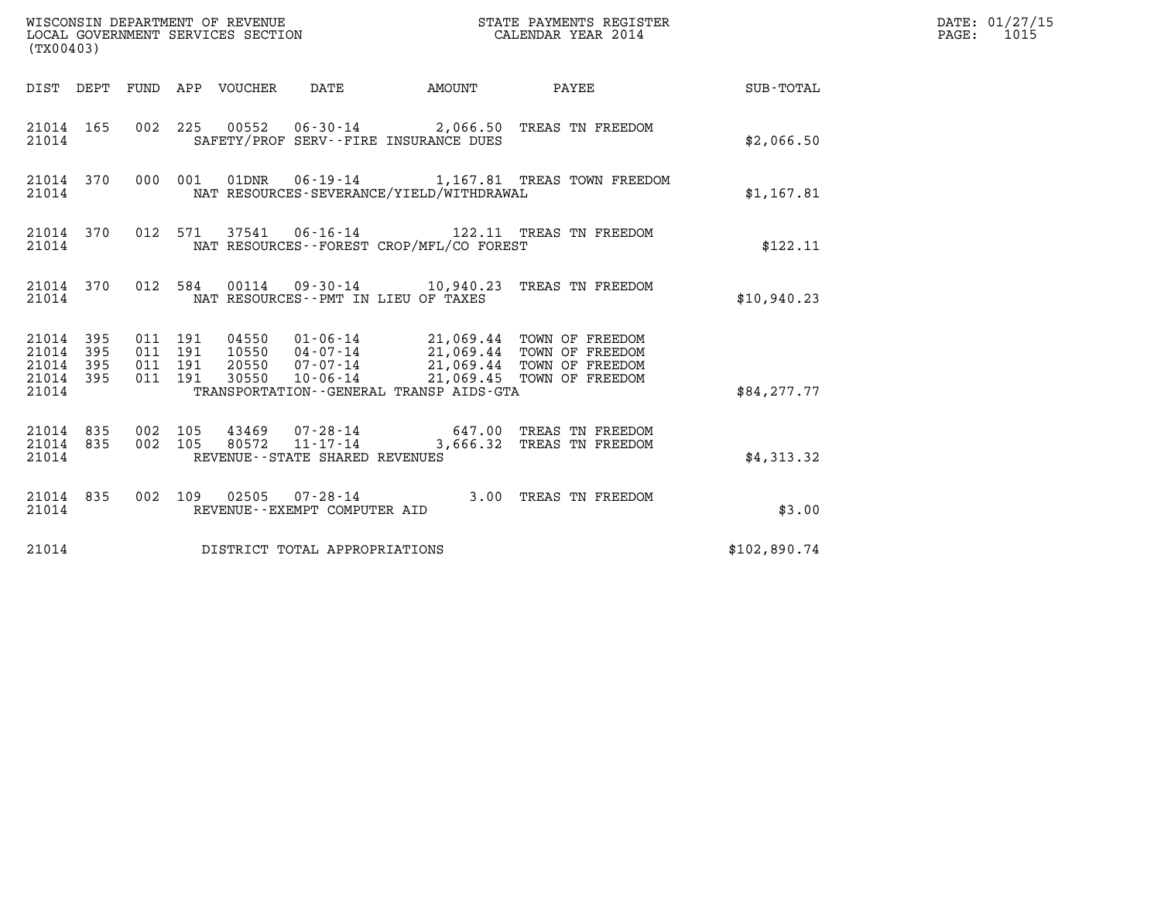| (TX00403)                                                    |                                          | WISCONSIN DEPARTMENT OF REVENUE<br>LOCAL GOVERNMENT SERVICES SECTION |                                                                                                                                                                                                                                     | STATE PAYMENTS REGISTER<br>CALENDAR YEAR 2014                          |              | DATE: 01/27/15<br>$\mathtt{PAGE:}$<br>1015 |
|--------------------------------------------------------------|------------------------------------------|----------------------------------------------------------------------|-------------------------------------------------------------------------------------------------------------------------------------------------------------------------------------------------------------------------------------|------------------------------------------------------------------------|--------------|--------------------------------------------|
|                                                              |                                          | DIST DEPT FUND APP VOUCHER DATE                                      | <b>EXAMPLE THE AMOUNT</b>                                                                                                                                                                                                           | <b>PAYEE</b>                                                           | SUB-TOTAL    |                                            |
| 21014 165<br>21014                                           |                                          | SAFETY/PROF SERV--FIRE INSURANCE DUES                                |                                                                                                                                                                                                                                     | 002 225 00552 06-30-14 2,066.50 TREAS TN FREEDOM                       | \$2,066.50   |                                            |
| 21014 370<br>21014                                           |                                          |                                                                      | NAT RESOURCES-SEVERANCE/YIELD/WITHDRAWAL                                                                                                                                                                                            | 000 001 01DNR  06-19-14   1,167.81 TREAS TOWN FREEDOM                  | \$1,167.81   |                                            |
| 21014 370<br>21014                                           |                                          |                                                                      | NAT RESOURCES - - FOREST CROP/MFL/CO FOREST                                                                                                                                                                                         | 012 571 37541 06-16-14 122.11 TREAS TN FREEDOM                         | \$122.11     |                                            |
| 21014 370<br>21014                                           |                                          | NAT RESOURCES -- PMT IN LIEU OF TAXES                                |                                                                                                                                                                                                                                     | 012 584 00114 09-30-14 10,940.23 TREAS TN FREEDOM                      | \$10,940.23  |                                            |
| 21014 395<br>21014 395<br>21014<br>395<br>21014 395<br>21014 | 011 191<br>011 191<br>011 191<br>011 191 |                                                                      | 04550  01-06-14  21,069.44  TOWN OF FREEDOM<br>10550  04-07-14  21,069.44  TOWN OF FREEDOM<br>20550  07-07-14  21,069.44  TOWN OF FREEDOM<br>30550  10-06-14  21,069.45  TOWN OF FREEDOM<br>TRANSPORTATION--GENERAL TRANSP AIDS-GTA |                                                                        | \$84,277.77  |                                            |
| 21014 835<br>21014 835<br>21014                              | 002 105<br>002 105                       | $11 - 17 - 14$<br>80572<br>REVENUE--STATE SHARED REVENUES            |                                                                                                                                                                                                                                     | 43469  07-28-14  647.00  TREAS TN FREEDOM<br>3,666.32 TREAS TN FREEDOM | \$4,313.32   |                                            |
| 21014 835<br>21014                                           |                                          | REVENUE--EXEMPT COMPUTER AID                                         |                                                                                                                                                                                                                                     | 002 109 02505 07-28-14 3.00 TREAS TN FREEDOM                           | \$3.00       |                                            |
| 21014                                                        |                                          | DISTRICT TOTAL APPROPRIATIONS                                        |                                                                                                                                                                                                                                     |                                                                        | \$102,890.74 |                                            |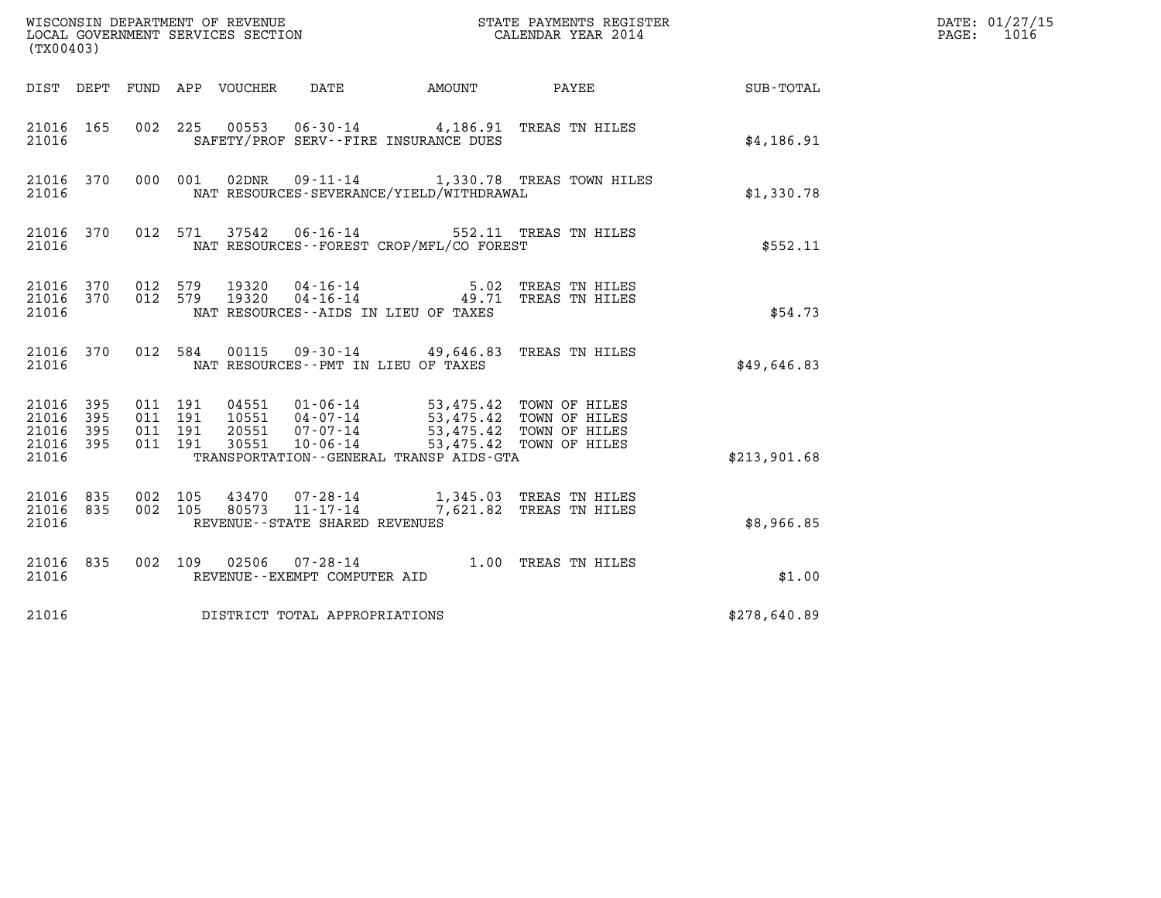| (TX00403)                                 |                            |                    |                            |                |                                   |                                                                                                                                  |                                                    |              | DATE: 01/27/15<br>1016<br>$\mathtt{PAGE:}$ |
|-------------------------------------------|----------------------------|--------------------|----------------------------|----------------|-----------------------------------|----------------------------------------------------------------------------------------------------------------------------------|----------------------------------------------------|--------------|--------------------------------------------|
|                                           |                            |                    | DIST DEPT FUND APP VOUCHER |                | DATE                              | AMOUNT PAYEE                                                                                                                     |                                                    | SUB-TOTAL    |                                            |
| 21016 165<br>21016                        |                            |                    |                            |                |                                   | 002 225 00553 06-30-14 4,186.91 TREAS TN HILES<br>SAFETY/PROF SERV--FIRE INSURANCE DUES                                          |                                                    | \$4,186.91   |                                            |
| 21016 370<br>21016                        |                            |                    | 000 001                    | 02DNR          |                                   | NAT RESOURCES-SEVERANCE/YIELD/WITHDRAWAL                                                                                         | 09-11-14 1,330.78 TREAS TOWN HILES                 | \$1,330.78   |                                            |
| 21016 370<br>21016                        |                            |                    | 012 571                    |                |                                   | 37542   06-16-14   552.11   TREAS TN HILES<br>NAT RESOURCES--FOREST CROP/MFL/CO FOREST                                           |                                                    | \$552.11     |                                            |
| 21016 370 012 579<br>21016 370<br>21016   |                            |                    | 012 579                    |                |                                   | 19320  04-16-14  5.02 TREAS TN HILES<br>19320  04-16-14  49.71 TREAS TN HILES<br>NAT RESOURCES -- AIDS IN LIEU OF TAXES          |                                                    | \$54.73      |                                            |
| 21016 370<br>21016                        |                            |                    | 012 584                    |                |                                   | 00115  09-30-14  49,646.83  TREAS TN HILES<br>NAT RESOURCES - - PMT IN LIEU OF TAXES                                             |                                                    | \$49,646.83  |                                            |
| 21016<br>21016<br>21016<br>21016<br>21016 | 395<br>395<br>- 395<br>395 | 011 191<br>011 191 | 011 191<br>011 191         | 30551          | 20551 07-07-14<br>$10 - 06 - 14$  | 04551 01-06-14 53,475.42 TOWN OF HILES<br>10551 04-07-14 53,475.42 TOWN OF HILES<br>TRANSPORTATION - - GENERAL TRANSP AIDS - GTA | 53,475.42 TOWN OF HILES<br>53,475.42 TOWN OF HILES | \$213,901.68 |                                            |
| 21016 835<br>21016 835<br>21016           |                            | 002 105<br>002 105 |                            | 43470<br>80573 | REVENUE - - STATE SHARED REVENUES | 07-28-14 1,345.03 TREAS TN HILES<br>11-17-14 7,621.82 TREAS TN HILES                                                             |                                                    | \$8,966.85   |                                            |
| 21016 835<br>21016                        |                            |                    |                            |                | REVENUE--EXEMPT COMPUTER AID      | 002 109 02506 07-28-14 1.00 TREAS TN HILES                                                                                       |                                                    | \$1.00       |                                            |
| 21016                                     |                            |                    |                            |                | DISTRICT TOTAL APPROPRIATIONS     |                                                                                                                                  |                                                    | \$278,640.89 |                                            |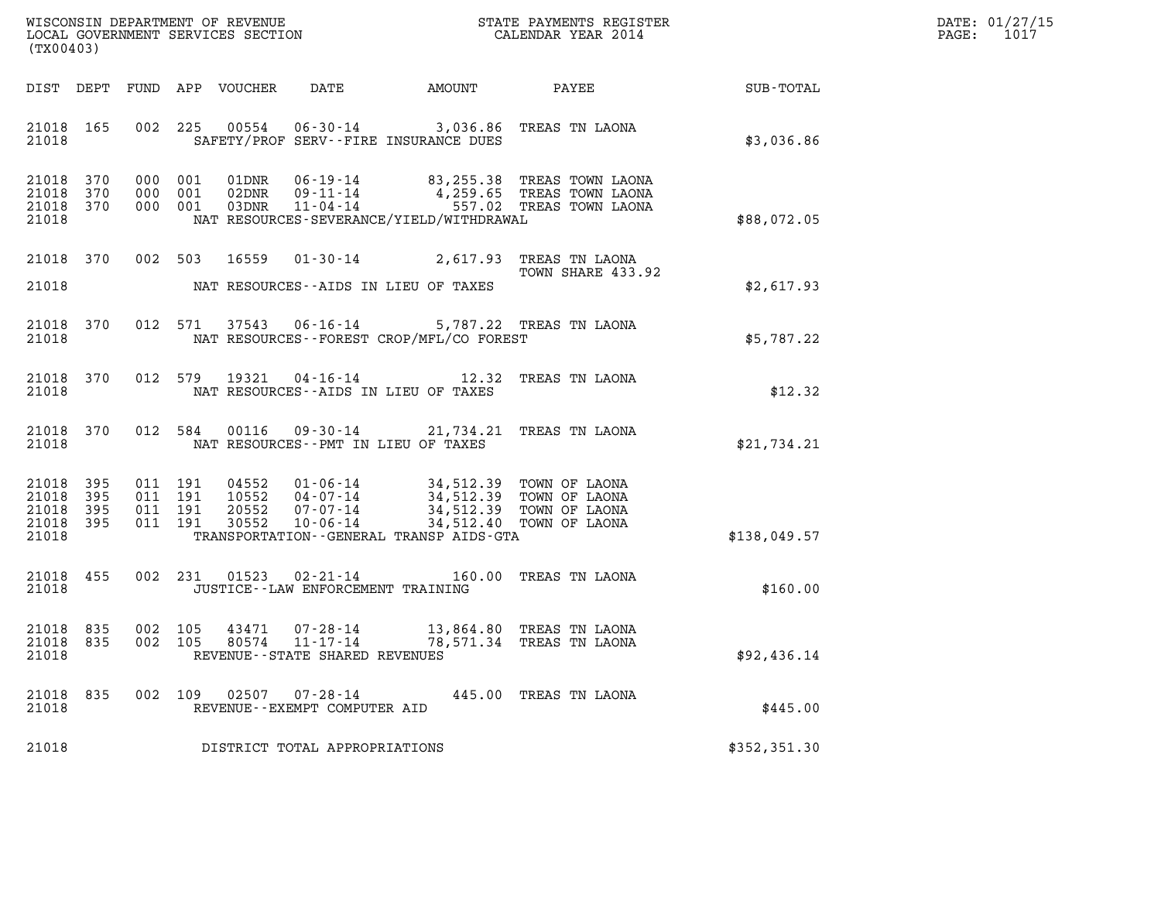| DATE: | 01/27/15 |
|-------|----------|
| PAGE: | 1017     |

| (TX00403)                                     |                   |         |                               |                                  |                                              |                                                                                                                      |                                                                                                                |               | DATE: 01/27/15<br>1017<br>PAGE: |
|-----------------------------------------------|-------------------|---------|-------------------------------|----------------------------------|----------------------------------------------|----------------------------------------------------------------------------------------------------------------------|----------------------------------------------------------------------------------------------------------------|---------------|---------------------------------|
| DIST DEPT                                     |                   |         |                               | FUND APP VOUCHER                 | DATE                                         | AMOUNT                                                                                                               | PAYEE FOR THE STATE OF THE STATE OF THE STATE OF THE STATE OF THE STATE OF THE STATE OF THE STATE OF THE STATE | SUB-TOTAL     |                                 |
| 21018 165<br>21018                            |                   | 002     | 225                           | 00554                            |                                              | 06-30-14 3,036.86 TREAS TN LAONA<br>SAFETY/PROF SERV--FIRE INSURANCE DUES                                            |                                                                                                                | \$3,036.86    |                                 |
| 21018<br>21018<br>21018 370<br>21018          | 370<br>370        |         | 000 001<br>000 001<br>000 001 | 01DNR<br>02DNR<br>03DNR          | $11 - 04 - 14$                               | NAT RESOURCES-SEVERANCE/YIELD/WITHDRAWAL                                                                             | 06-19-14 83,255.38 TREAS TOWN LAONA<br>09-11-14 4,259.65 TREAS TOWN LAONA<br>557.02 TREAS TOWN LAONA           | \$88,072.05   |                                 |
| 21018 370<br>21018                            |                   |         | 002 503                       | 16559                            |                                              | 01-30-14 2,617.93 TREAS TN LAONA<br>NAT RESOURCES--AIDS IN LIEU OF TAXES                                             | TOWN SHARE 433.92                                                                                              | \$2,617.93    |                                 |
| 21018<br>21018                                | 370               |         | 012 571                       |                                  | $37543$ 06-16-14                             | NAT RESOURCES - - FOREST CROP/MFL/CO FOREST                                                                          | 5,787.22 TREAS TN LAONA                                                                                        | \$5,787.22    |                                 |
| 21018<br>21018                                | 370               |         | 012 579                       | 19321                            |                                              | 04-16-14 12.32 TREAS TN LAONA<br>NAT RESOURCES--AIDS IN LIEU OF TAXES                                                |                                                                                                                | \$12.32       |                                 |
| 21018<br>21018                                | 370               |         | 012 584                       | 00116                            |                                              | 09-30-14 21,734.21 TREAS TN LAONA<br>NAT RESOURCES -- PMT IN LIEU OF TAXES                                           |                                                                                                                | \$21,734.21   |                                 |
| 21018<br>21018<br>21018<br>21018 395<br>21018 | 395<br>395<br>395 | 011 191 | 011 191<br>011 191<br>011 191 | 04552<br>10552<br>20552<br>30552 | $04 - 07 - 14$<br>07-07-14<br>$10 - 06 - 14$ | 01-06-14 34,512.39 TOWN OF LAONA<br>04-07-14 34,512.39 TOWN OF LAONA<br>TRANSPORTATION - - GENERAL TRANSP AIDS - GTA | 34,512.39 TOWN OF LAONA<br>34,512.40 TOWN OF LAONA                                                             | \$138,049.57  |                                 |
| 21018 455<br>21018                            |                   |         | 002 231                       | 01523                            | JUSTICE - - LAW ENFORCEMENT TRAINING         | 02-21-14 160.00 TREAS TN LAONA                                                                                       |                                                                                                                | \$160.00      |                                 |
| 21018 835<br>21018 835<br>21018               |                   |         | 002 105<br>002 105            | 43471                            | 07-28-14<br>REVENUE--STATE SHARED REVENUES   | 80574  11-17-14  78,571.34  TREAS TN LAONA                                                                           | 13,864.80 TREAS TN LAONA                                                                                       | \$92,436.14   |                                 |
| 21018 835<br>21018                            |                   |         | 002 109                       |                                  | REVENUE - - EXEMPT COMPUTER AID              |                                                                                                                      | 445.00 TREAS TN LAONA                                                                                          | \$445.00      |                                 |
| 21018                                         |                   |         |                               |                                  | DISTRICT TOTAL APPROPRIATIONS                |                                                                                                                      |                                                                                                                | \$352, 351.30 |                                 |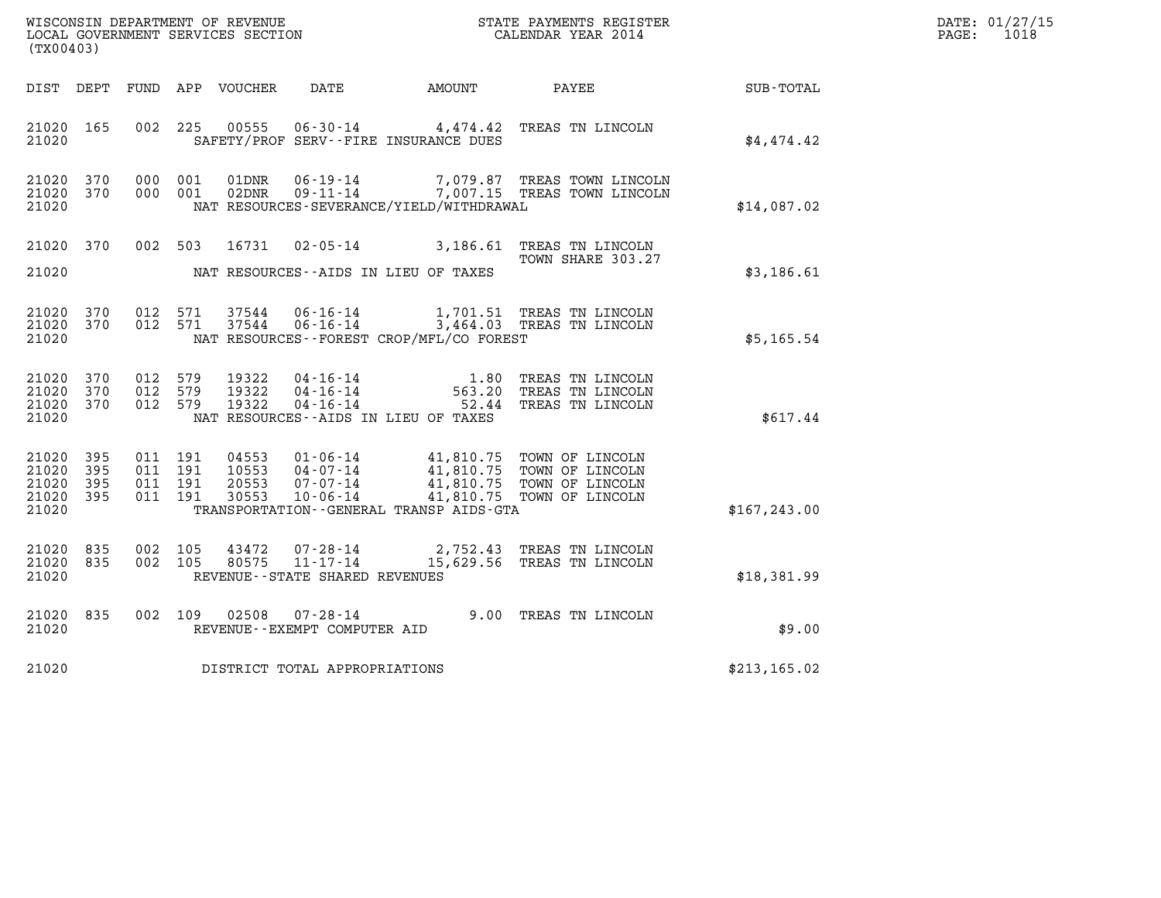| $\texttt{DATE}$ : | 01/27/15 |
|-------------------|----------|
| PAGE:             | 1018     |

| WISCONSIN DEPARTMENT OF REVENUE<br>LOCAL GOVERNMENT SERVICES SECTION<br>CALENDAR YEAR 2014<br>(TX00403) |                               |                               |                    |                         |                                                  |                                             |                                                                                                                                             |               | DATE: 01/27/15<br>$\mathtt{PAGE:}$<br>1018 |
|---------------------------------------------------------------------------------------------------------|-------------------------------|-------------------------------|--------------------|-------------------------|--------------------------------------------------|---------------------------------------------|---------------------------------------------------------------------------------------------------------------------------------------------|---------------|--------------------------------------------|
|                                                                                                         |                               |                               |                    |                         |                                                  |                                             |                                                                                                                                             |               |                                            |
| DIST DEPT                                                                                               |                               |                               |                    | FUND APP VOUCHER        | DATE                                             | AMOUNT                                      | PAYEE                                                                                                                                       | SUB-TOTAL     |                                            |
| 21020 165<br>21020                                                                                      |                               |                               | 002 225            | 00555                   |                                                  | SAFETY/PROF SERV--FIRE INSURANCE DUES       | 06-30-14 4,474.42 TREAS TN LINCOLN                                                                                                          | \$4,474.42    |                                            |
| 21020 370<br>21020 370                                                                                  |                               |                               | 000 001<br>000 001 | 01DNR<br>02DNR          |                                                  |                                             | 06-19-14 7,079.87 TREAS TOWN LINCOLN<br>09-11-14 7,007.15 TREAS TOWN LINCOLN                                                                |               |                                            |
| 21020                                                                                                   |                               |                               |                    |                         |                                                  | NAT RESOURCES-SEVERANCE/YIELD/WITHDRAWAL    |                                                                                                                                             | \$14,087.02   |                                            |
| 21020 370                                                                                               |                               |                               | 002 503            | 16731                   |                                                  |                                             | 02-05-14 3,186.61 TREAS TN LINCOLN                                                                                                          |               |                                            |
| 21020                                                                                                   |                               |                               |                    |                         |                                                  | NAT RESOURCES--AIDS IN LIEU OF TAXES        | TOWN SHARE 303.27                                                                                                                           | \$3,186.61    |                                            |
| 21020 370                                                                                               |                               |                               | 012 571            | 37544                   |                                                  |                                             |                                                                                                                                             |               |                                            |
| 21020 370<br>21020                                                                                      |                               |                               | 012 571            | 37544                   |                                                  | NAT RESOURCES - - FOREST CROP/MFL/CO FOREST | 06-16-14 1,701.51 TREAS TN LINCOLN<br>06-16-14 3,464.03 TREAS TN LINCOLN                                                                    | \$5,165.54    |                                            |
|                                                                                                         |                               |                               |                    |                         |                                                  |                                             |                                                                                                                                             |               |                                            |
| 21020<br>21020<br>21020 370                                                                             | 370<br>370                    | 012 579<br>012 579<br>012 579 |                    | 19322<br>19322<br>19322 | 04 - 16 - 14<br>04 - 16 - 14<br>04 - 16 - 14     |                                             | 1.80 TREAS TN LINCOLN<br>563.20 TREAS TN LINCOLN<br>52.44 TREAS TN LINCOLN                                                                  |               |                                            |
| 21020                                                                                                   |                               |                               |                    |                         |                                                  | NAT RESOURCES--AIDS IN LIEU OF TAXES        |                                                                                                                                             | \$617.44      |                                            |
| 21020                                                                                                   | 395                           | 011 191                       |                    | 04553                   |                                                  |                                             |                                                                                                                                             |               |                                            |
| 21020<br>21020<br>21020 395                                                                             | 395<br>395                    | 011 191<br>011 191            | 011 191            | 10553<br>20553<br>30553 | $10 - 06 - 14$                                   |                                             | 01-06-14 41,810.75 TOWN OF LINCOLN<br>04-07-14 41,810.75 TOWN OF LINCOLN<br>07-07-14 41,810.75 TOWN OF LINCOLN<br>41,810.75 TOWN OF LINCOLN |               |                                            |
| 21020                                                                                                   |                               |                               |                    |                         |                                                  | TRANSPORTATION--GENERAL TRANSP AIDS-GTA     |                                                                                                                                             | \$167, 243.00 |                                            |
| 21020                                                                                                   | 835                           | 002                           | 105                | 43472                   | $07 - 28 - 14$                                   |                                             | 2,752.43 TREAS TN LINCOLN                                                                                                                   |               |                                            |
| 21020<br>21020                                                                                          | 835                           |                               | 002 105            | 80575                   | $11 - 17 - 14$<br>REVENUE--STATE SHARED REVENUES |                                             | 15,629.56 TREAS TN LINCOLN                                                                                                                  | \$18,381.99   |                                            |
| 21020                                                                                                   | 835                           | 002 109                       |                    | 02508                   | $07 - 28 - 14$                                   |                                             | 9.00 TREAS TN LINCOLN                                                                                                                       |               |                                            |
| 21020                                                                                                   |                               |                               |                    |                         | REVENUE--EXEMPT COMPUTER AID                     |                                             |                                                                                                                                             | \$9.00        |                                            |
| 21020                                                                                                   | DISTRICT TOTAL APPROPRIATIONS |                               |                    |                         |                                                  |                                             |                                                                                                                                             | \$213, 165.02 |                                            |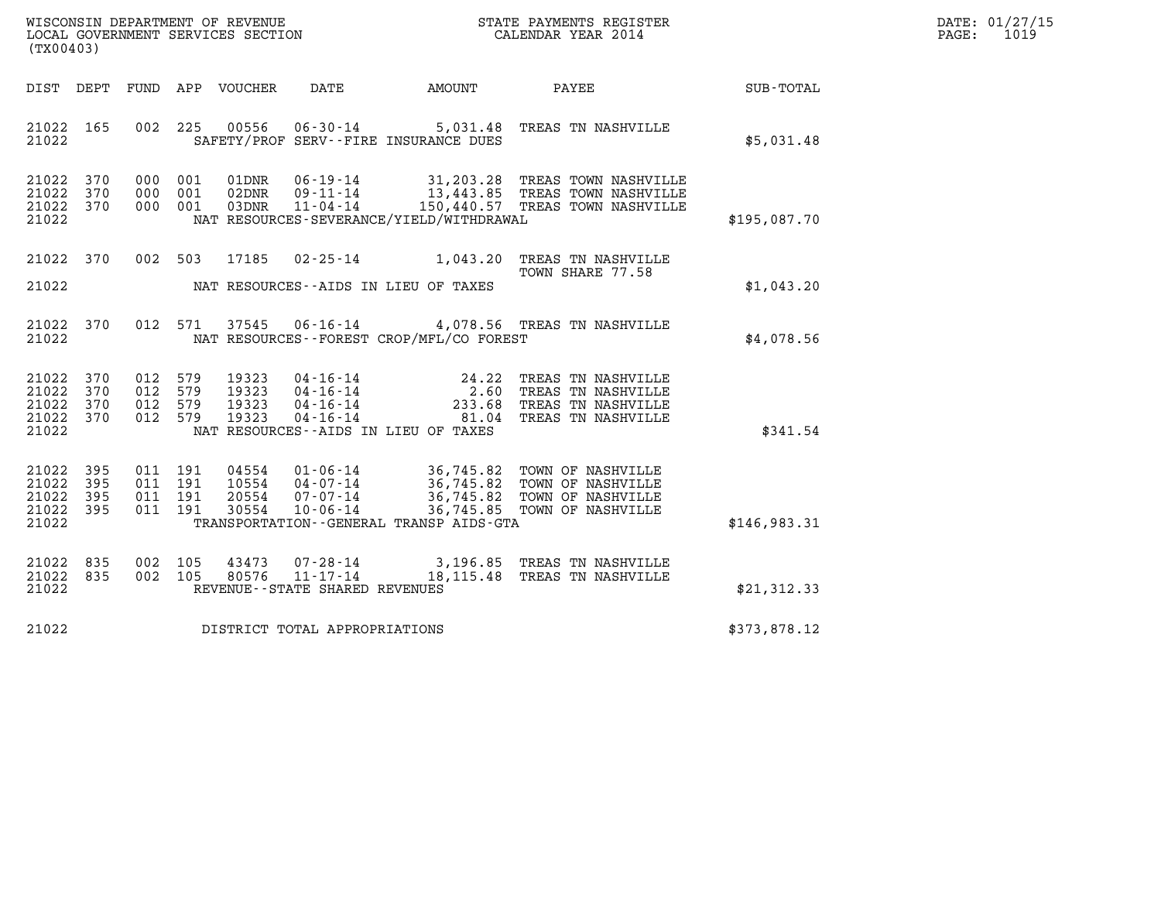| WISCONSIN DEPARTMENT OF REVENUE   | STATE PAYMENTS REGISTER | DATE: 01/27/15 |
|-----------------------------------|-------------------------|----------------|
| LOCAL GOVERNMENT SERVICES SECTION | CALENDAR YEAR 2014      | 1019<br>PAGE:  |

| (TX00403)                                                             |                          |                                                              |                                                                                                                                                                    |                                                                                                     |                  |
|-----------------------------------------------------------------------|--------------------------|--------------------------------------------------------------|--------------------------------------------------------------------------------------------------------------------------------------------------------------------|-----------------------------------------------------------------------------------------------------|------------------|
| DIST<br>DEPT                                                          | FUND                     | APP<br>VOUCHER                                               | DATE<br>AMOUNT                                                                                                                                                     | PAYEE                                                                                               | <b>SUB-TOTAL</b> |
| 165<br>21022<br>21022                                                 | 002                      | 00556<br>225                                                 | $06 - 30 - 14$ 5, 031.48<br>SAFETY/PROF SERV--FIRE INSURANCE DUES                                                                                                  | TREAS TN NASHVILLE                                                                                  | \$5,031.48       |
| 21022<br>370<br>21022<br>370<br>21022<br>370<br>21022                 | 000<br>000<br>000        | 001<br>01DNR<br>001<br>02DNR<br>001<br>03DNR                 | $06 - 19 - 14$<br>$09 - 11 - 14$<br>$11 - 04 - 14$<br>NAT RESOURCES-SEVERANCE/YIELD/WITHDRAWAL                                                                     | 31,203.28 TREAS TOWN NASHVILLE<br>13,443.85 TREAS TOWN NASHVILLE<br>150,440.57 TREAS TOWN NASHVILLE | \$195,087.70     |
| 21022<br>370                                                          | 002                      | 503<br>17185                                                 | $02 - 25 - 14$<br>1,043.20                                                                                                                                         | TREAS TN NASHVILLE<br>TOWN SHARE 77.58                                                              |                  |
| 21022                                                                 |                          |                                                              | NAT RESOURCES--AIDS IN LIEU OF TAXES                                                                                                                               |                                                                                                     | \$1,043.20       |
| 21022<br>370<br>21022                                                 | 012                      | 571<br>37545                                                 | $06 - 16 - 14$<br>NAT RESOURCES - - FOREST CROP/MFL/CO FOREST                                                                                                      | 4,078.56 TREAS TN NASHVILLE                                                                         | \$4,078.56       |
| 21022<br>370<br>370<br>21022<br>21022<br>370<br>370<br>21022<br>21022 | 012<br>012<br>012<br>012 | 19323<br>579<br>579<br>19323<br>579<br>19323<br>579<br>19323 | $04 - 16 - 14$<br>$24.22 \atop 2.60$<br>$04 - 16 - 14$<br>$04 - 16 - 14$<br>233.68<br>$04 - 16 - 14$<br>81.04<br>NAT RESOURCES--AIDS IN LIEU OF TAXES              | TREAS TN NASHVILLE<br>TREAS TN NASHVILLE<br>TREAS TN NASHVILLE<br>TREAS TN NASHVILLE                | \$341.54         |
| 395<br>21022<br>21022<br>395<br>21022<br>395<br>21022<br>395<br>21022 | 011<br>011<br>011<br>011 | 191<br>04554<br>191<br>10554<br>191<br>20554<br>191<br>30554 | 01-06-14<br>36,745.82<br>36,745.82<br>$04 - 07 - 14$<br>$07 - 07 - 14$<br>36,745.82<br>36,745.85<br>$10 - 06 - 14$<br>TRANSPORTATION - - GENERAL TRANSP AIDS - GTA | TOWN OF NASHVILLE<br>TOWN OF NASHVILLE<br>TOWN OF NASHVILLE<br>TOWN OF NASHVILLE                    | \$146,983.31     |
| 21022<br>835<br>21022<br>835<br>21022                                 | 002<br>002               | 105<br>43473<br>80576<br>105                                 | $07 - 28 - 14$<br>$11 - 17 - 14$<br>18,115.48<br>REVENUE - - STATE SHARED REVENUES                                                                                 | 3,196.85 TREAS TN NASHVILLE<br>TREAS TN NASHVILLE                                                   | \$21,312.33      |
| 21022                                                                 |                          |                                                              | DISTRICT TOTAL APPROPRIATIONS                                                                                                                                      |                                                                                                     | \$373,878.12     |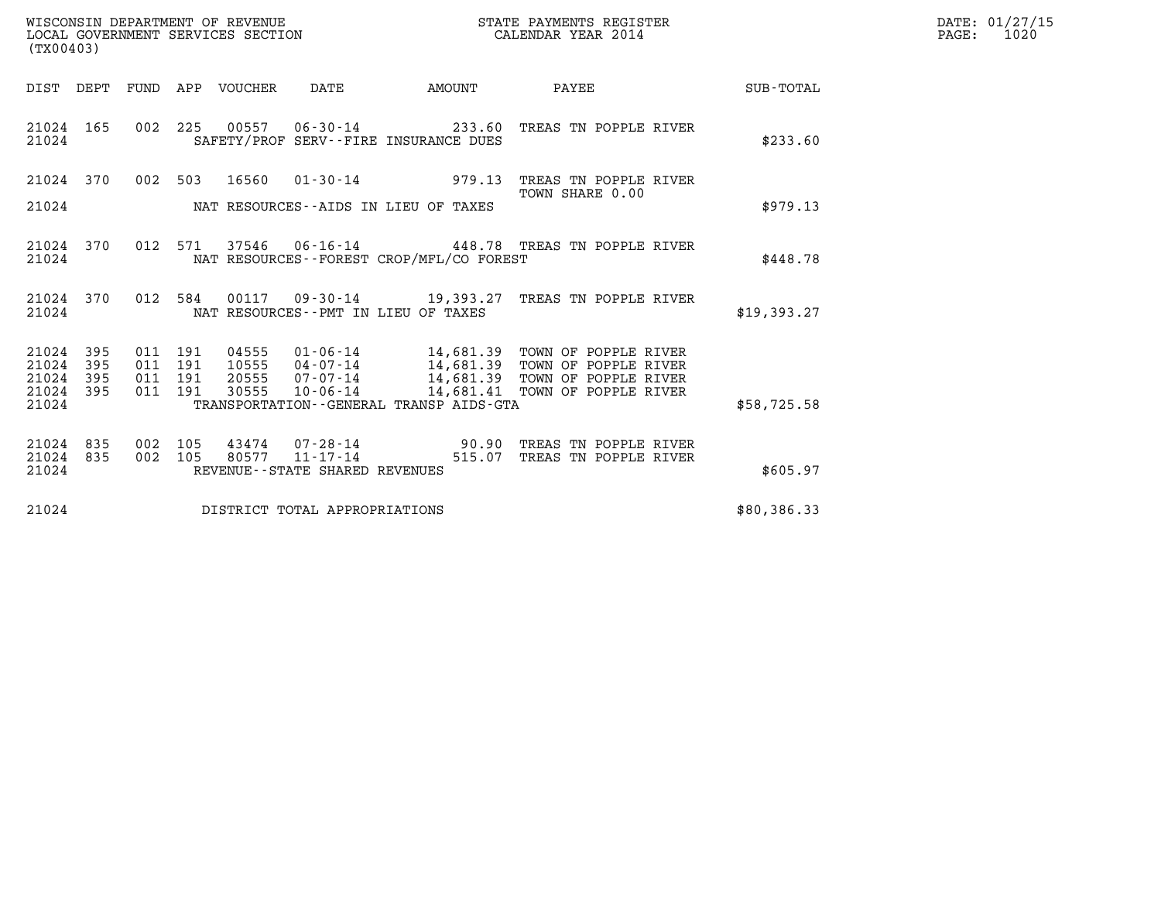| WISCONSIN DEPARTMENT OF REVENUE   | STATE PAYMENTS REGISTER | DATE: 01/27/15 |
|-----------------------------------|-------------------------|----------------|
| LOCAL GOVERNMENT SERVICES SECTION | CALENDAR YEAR 2014      | 1020<br>PAGE:  |

|                         | LOCAL GOVERNMENT SERVICES SECTION<br>CALENDAR YEAR 2014<br>(TX00403) |                   |                   |                         |                                                             |        |           |                                                                  |                  |
|-------------------------|----------------------------------------------------------------------|-------------------|-------------------|-------------------------|-------------------------------------------------------------|--------|-----------|------------------------------------------------------------------|------------------|
| DIST                    | DEPT                                                                 | FUND              | APP               | VOUCHER                 | DATE                                                        | AMOUNT |           | PAYEE                                                            | <b>SUB-TOTAL</b> |
| 21024<br>21024          | 165                                                                  | 002               | 225               |                         | SAFETY/PROF SERV--FIRE INSURANCE DUES                       |        |           | 00557  06-30-14  233.60  TREAS TN POPPLE RIVER                   | \$233.60         |
| 21024                   | 370                                                                  | 002               | 503               | 16560                   | $01 - 30 - 14$                                              |        | 979.13    | TREAS TN POPPLE RIVER<br>TOWN SHARE 0.00                         |                  |
| 21024                   |                                                                      |                   |                   |                         | NAT RESOURCES--AIDS IN LIEU OF TAXES                        |        |           |                                                                  | \$979.13         |
| 21024<br>21024          | 370                                                                  | 012               | 571               |                         | NAT RESOURCES - - FOREST CROP/MFL/CO FOREST                 |        |           | 37546  06-16-14  448.78  TREAS TN POPPLE RIVER                   | \$448.78         |
| 21024<br>21024          | 370                                                                  | 012               | 584               | 00117                   | 09-30-14 19,393.27<br>NAT RESOURCES -- PMT IN LIEU OF TAXES |        |           | TREAS TN POPPLE RIVER                                            | \$19,393.27      |
| 21024<br>21024<br>21024 | 395<br>395<br>395                                                    | 011<br>011<br>011 | 191<br>191<br>191 | 04555<br>10555<br>20555 | $04 - 07 - 14$<br>07-07-14                                  |        |           | 14,681.39 TOWN OF POPPLE RIVER<br>14,681.39 TOWN OF POPPLE RIVER |                  |
| 21024<br>21024          | 395                                                                  | 011               | 191               | 30555                   | 10-06-14<br>TRANSPORTATION--GENERAL TRANSP AIDS-GTA         |        | 14,681.41 | TOWN OF POPPLE RIVER                                             | \$58,725.58      |
| 21024                   | 835                                                                  | 002               | 105               | 43474                   | 07-28-14                                                    |        | 90.90     | TREAS TN POPPLE RIVER                                            |                  |
| 21024<br>21024          | 835                                                                  | 002               | 105               | 80577                   | $11 - 17 - 14$<br>REVENUE - - STATE SHARED REVENUES         |        | 515.07    | TREAS TN POPPLE RIVER                                            | \$605.97         |
| 21024                   |                                                                      |                   |                   |                         | DISTRICT TOTAL APPROPRIATIONS                               |        |           |                                                                  | \$80,386.33      |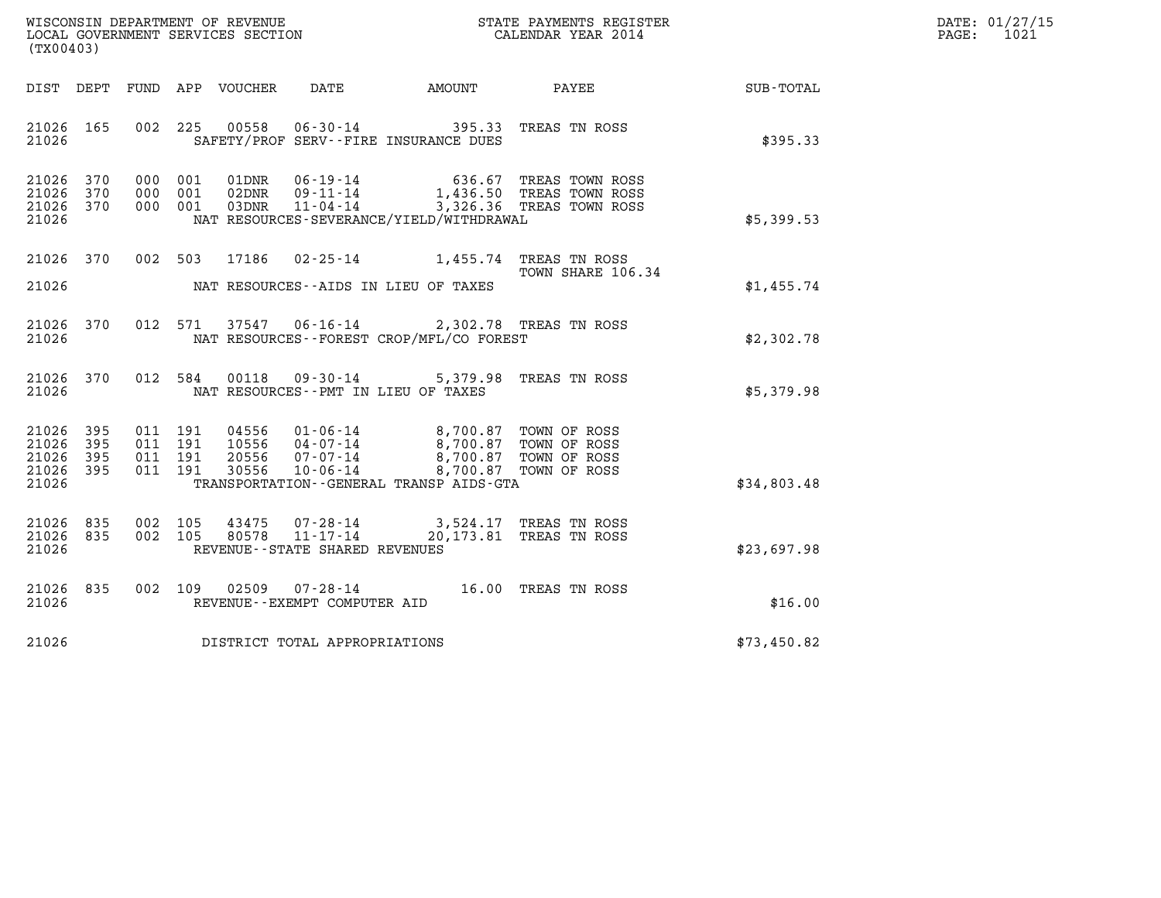| WISCONSIN DEPARTMENT OF REVENUE   | STATE PAYMENTS REGISTER | DATE: 01/27/15 |
|-----------------------------------|-------------------------|----------------|
| LOCAL GOVERNMENT SERVICES SECTION | CALENDAR YEAR 2014      | 1021<br>PAGE:  |

| (TX00403)                                                             |                          |                                                                                                                                                                     |                                                                                                  |             |
|-----------------------------------------------------------------------|--------------------------|---------------------------------------------------------------------------------------------------------------------------------------------------------------------|--------------------------------------------------------------------------------------------------|-------------|
| DIST DEPT                                                             |                          | FUND APP VOUCHER DATE AMOUNT                                                                                                                                        | <b>PAYEE</b>                                                                                     | SUB-TOTAL   |
| 165<br>21026<br>21026                                                 | 002                      | 225<br>00558<br>$06 - 30 - 14$<br>395.33<br>SAFETY/PROF SERV--FIRE INSURANCE DUES                                                                                   | TREAS TN ROSS                                                                                    | \$395.33    |
| 21026<br>370<br>370<br>21026<br>21026<br>370<br>21026                 | 000<br>000<br>000        | 001<br>01DNR<br>06-19-14<br>636.67<br>02DNR<br>$09 - 11 - 14$<br>001<br>001<br>03DNR<br>$11 - 04 - 14$<br>NAT RESOURCES-SEVERANCE/YIELD/WITHDRAWAL                  | TREAS TOWN ROSS<br>1,436.50 TREAS TOWN ROSS<br>3,326.36 TREAS TOWN ROSS                          | \$5,399.53  |
| 370<br>21026<br>21026                                                 | 002                      | 17186<br>$02 - 25 - 14$<br>503<br>NAT RESOURCES--AIDS IN LIEU OF TAXES                                                                                              | 1,455.74 TREAS TN ROSS<br>TOWN SHARE 106.34                                                      | \$1,455.74  |
| 370<br>21026<br>21026                                                 | 012                      | 571<br>37547  06-16-14  2,302.78  TREAS TN ROSS<br>NAT RESOURCES - - FOREST CROP/MFL/CO FOREST                                                                      |                                                                                                  | \$2,302.78  |
| 21026<br>370<br>21026                                                 | 012                      | 584<br>00118 09-30-14 5,379.98<br>NAT RESOURCES -- PMT IN LIEU OF TAXES                                                                                             | TREAS TN ROSS                                                                                    | \$5,379.98  |
| 21026<br>395<br>21026<br>395<br>21026<br>395<br>21026<br>395<br>21026 | 011<br>011<br>011<br>011 | 04556<br>01-06-14<br>191<br>$04 - 07 - 14$<br>191<br>10556<br>20556<br>07-07-14<br>191<br>30556<br>191<br>$10 - 06 - 14$<br>TRANSPORTATION--GENERAL TRANSP AIDS-GTA | 8,700.87 TOWN OF ROSS<br>8,700.87 TOWN OF ROSS<br>8,700.87 TOWN OF ROSS<br>8,700.87 TOWN OF ROSS | \$34,803.48 |
| 21026<br>835<br>21026<br>835<br>21026                                 | 002<br>002               | 105<br>43475<br>07-28-14<br>80578<br>$11 - 17 - 14$<br>105<br>REVENUE - - STATE SHARED REVENUES                                                                     | 3,524.17 TREAS TN ROSS<br>20,173.81 TREAS TN ROSS                                                | \$23,697.98 |
| 21026<br>835<br>21026                                                 | 002                      | $02509$ $07 - 28 - 14$<br>109<br>REVENUE--EXEMPT COMPUTER AID                                                                                                       | 16.00<br>TREAS TN ROSS                                                                           | \$16.00     |
| 21026                                                                 |                          | DISTRICT TOTAL APPROPRIATIONS                                                                                                                                       |                                                                                                  | \$73,450.82 |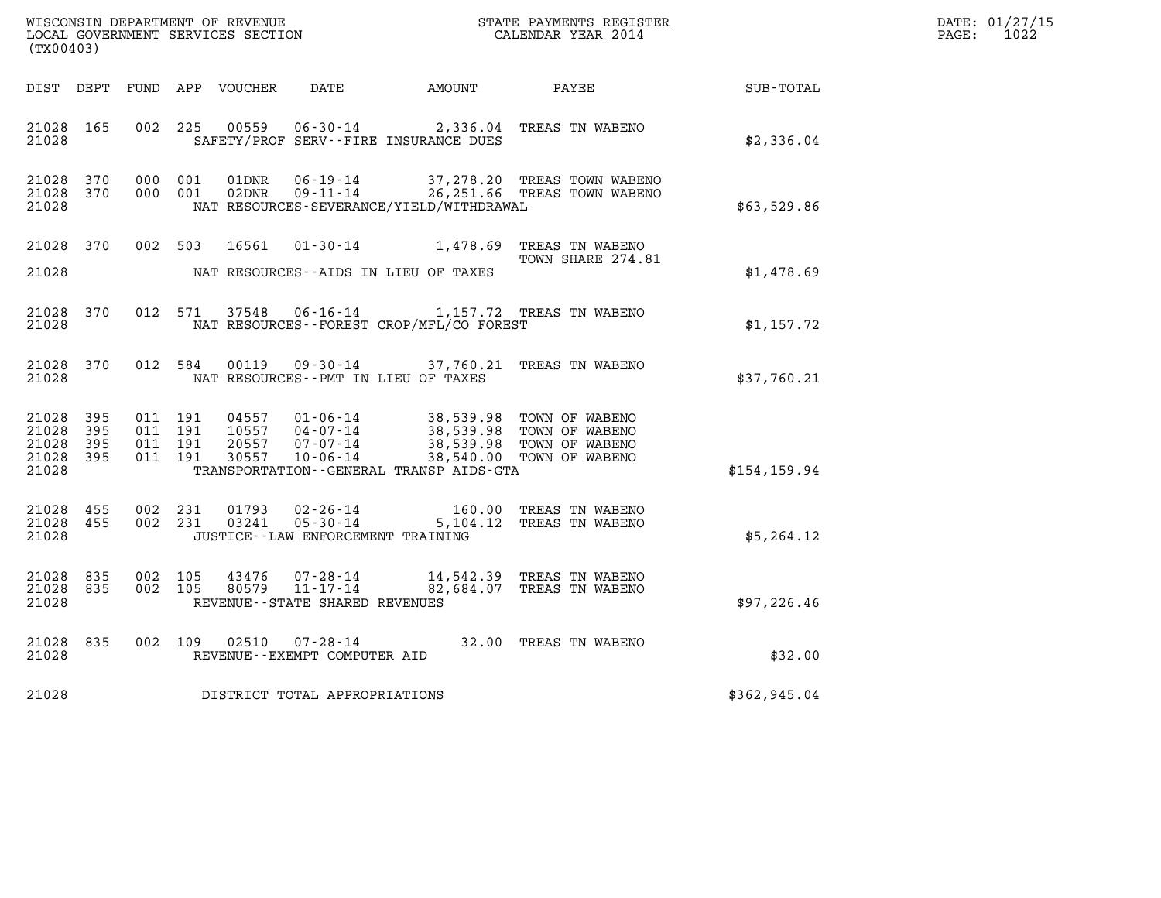| WISCONSIN DEPARTMENT OF REVENUE   | STATE PAYMENTS REGISTER | DATE: 01/27/15 |
|-----------------------------------|-------------------------|----------------|
| LOCAL GOVERNMENT SERVICES SECTION | CALENDAR YEAR 2014      | 1022<br>PAGE:  |

| (TX00403)                                             |     |  |                                      |                                                                     |                                              |                                                                                                                                                                                                                                                                                                                                                        |               | DATE: 01/27/15<br>$\mathtt{PAGE:}$<br>1022 |
|-------------------------------------------------------|-----|--|--------------------------------------|---------------------------------------------------------------------|----------------------------------------------|--------------------------------------------------------------------------------------------------------------------------------------------------------------------------------------------------------------------------------------------------------------------------------------------------------------------------------------------------------|---------------|--------------------------------------------|
|                                                       |     |  |                                      |                                                                     | DIST DEPT FUND APP VOUCHER DATE AMOUNT PAYEE |                                                                                                                                                                                                                                                                                                                                                        | SUB-TOTAL     |                                            |
| 21028 165<br>21028                                    |     |  |                                      | SAFETY/PROF SERV--FIRE INSURANCE DUES                               |                                              | 002 225 00559 06-30-14 2,336.04 TREAS TN WABENO                                                                                                                                                                                                                                                                                                        | \$2,336.04    |                                            |
| 21028 370<br>21028 370<br>21028                       |     |  | 000 001<br>01DNR<br>02DNR<br>000 001 |                                                                     | NAT RESOURCES-SEVERANCE/YIELD/WITHDRAWAL     | 06-19-14 37,278.20 TREAS TOWN WABENO<br>09-11-14 26,251.66 TREAS TOWN WABENO                                                                                                                                                                                                                                                                           | \$63,529.86   |                                            |
| 21028 370<br>21028                                    |     |  | 002 503<br>16561                     | NAT RESOURCES--AIDS IN LIEU OF TAXES                                |                                              | 01-30-14 1,478.69 TREAS TN WABENO<br>TOWN SHARE 274.81                                                                                                                                                                                                                                                                                                 | \$1,478.69    |                                            |
| 21028 370<br>21028                                    |     |  | 012 571 37548                        |                                                                     | NAT RESOURCES - - FOREST CROP/MFL/CO FOREST  | 06-16-14 1,157.72 TREAS TN WABENO                                                                                                                                                                                                                                                                                                                      | \$1,157.72    |                                            |
| 21028 370<br>21028                                    |     |  |                                      |                                                                     | NAT RESOURCES--PMT IN LIEU OF TAXES          | 012 584 00119 09-30-14 37,760.21 TREAS TN WABENO                                                                                                                                                                                                                                                                                                       | \$37,760.21   |                                            |
| 21028<br>21028 395<br>21028 395<br>21028 395<br>21028 | 395 |  |                                      |                                                                     | TRANSPORTATION--GENERAL TRANSP AIDS-GTA      | $\begin{array}{cccc} 011 & 191 & 04557 & 01\cdot 06\cdot 14 & 38,539.98 & \text{TOWN OF WABENO} \\ 011 & 191 & 10557 & 04\cdot 07\cdot 14 & 38,539.98 & \text{TOWN OF WABEND} \\ 011 & 191 & 20557 & 07\cdot 07\cdot 14 & 38,539.98 & \text{TOWN OF WABEND} \\ 011 & 191 & 30557 & 10\cdot 06\cdot 14 & 38,540.00 & \text{TOWN OF WABEND} \end{array}$ | \$154, 159.94 |                                            |
| 21028 455<br>21028 455<br>21028                       |     |  | 002 231<br>01793<br>002 231 03241    | 02 - 26 - 14<br>05 - 30 - 14<br>JUSTICE -- LAW ENFORCEMENT TRAINING | 5,104.12                                     | 160.00 TREAS TN WABENO<br>TREAS TN WABENO                                                                                                                                                                                                                                                                                                              | \$5,264.12    |                                            |
| 21028 835<br>21028 835<br>21028                       |     |  | 002 105<br>002 105                   | REVENUE--STATE SHARED REVENUES                                      |                                              | $43476$ $07 - 28 - 14$ $14,542.39$ TREAS TN WABENO<br>80579 11-17-14 82,684.07 TREAS TN WABENO                                                                                                                                                                                                                                                         | \$97,226.46   |                                            |
| 21028<br>21028                                        | 835 |  | 002 109 02510                        | REVENUE--EXEMPT COMPUTER AID                                        |                                              | 07-28-14 32.00 TREAS TN WABENO                                                                                                                                                                                                                                                                                                                         | \$32.00       |                                            |
| 21028                                                 |     |  | DISTRICT TOTAL APPROPRIATIONS        |                                                                     |                                              |                                                                                                                                                                                                                                                                                                                                                        | \$362,945.04  |                                            |